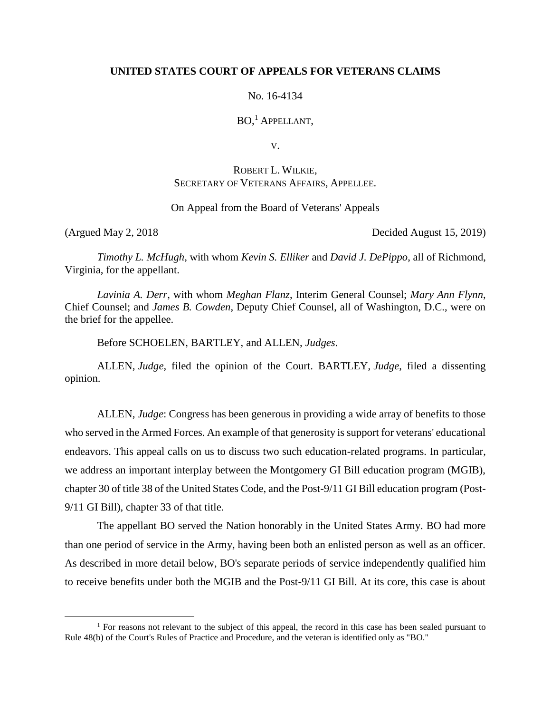#### **UNITED STATES COURT OF APPEALS FOR VETERANS CLAIMS**

#### No. 16-4134

BO, <sup>1</sup> APPELLANT,

V.

## ROBERT L. WILKIE, SECRETARY OF VETERANS AFFAIRS, APPELLEE.

#### On Appeal from the Board of Veterans' Appeals

 $\overline{a}$ 

(Argued May 2, 2018 Decided August 15, 2019)

*Timothy L. McHugh*, with whom *Kevin S. Elliker* and *David J. DePippo*, all of Richmond, Virginia, for the appellant.

*Lavinia A. Derr*, with whom *Meghan Flanz*, Interim General Counsel; *Mary Ann Flynn*, Chief Counsel; and *James B. Cowden*, Deputy Chief Counsel, all of Washington, D.C., were on the brief for the appellee.

Before SCHOELEN, BARTLEY, and ALLEN, *Judges*.

ALLEN, *Judge*, filed the opinion of the Court. BARTLEY, *Judge*, filed a dissenting opinion.

ALLEN, *Judge*: Congress has been generous in providing a wide array of benefits to those who served in the Armed Forces. An example of that generosity is support for veterans' educational endeavors. This appeal calls on us to discuss two such education-related programs. In particular, we address an important interplay between the Montgomery GI Bill education program (MGIB), chapter 30 of title 38 of the United States Code, and the Post-9/11 GI Bill education program (Post-9/11 GI Bill), chapter 33 of that title.

The appellant BO served the Nation honorably in the United States Army. BO had more than one period of service in the Army, having been both an enlisted person as well as an officer. As described in more detail below, BO's separate periods of service independently qualified him to receive benefits under both the MGIB and the Post-9/11 GI Bill. At its core, this case is about

<sup>&</sup>lt;sup>1</sup> For reasons not relevant to the subject of this appeal, the record in this case has been sealed pursuant to Rule 48(b) of the Court's Rules of Practice and Procedure, and the veteran is identified only as "BO."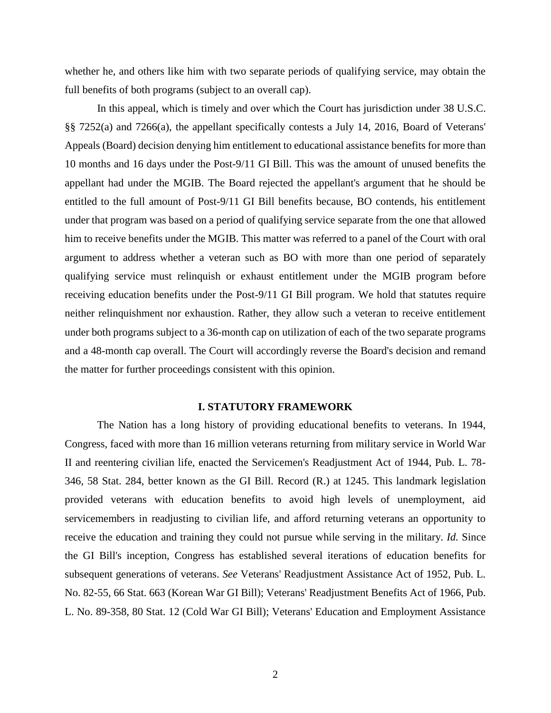whether he, and others like him with two separate periods of qualifying service, may obtain the full benefits of both programs (subject to an overall cap).

In this appeal, which is timely and over which the Court has jurisdiction under 38 U.S.C. §§ 7252(a) and 7266(a), the appellant specifically contests a July 14, 2016, Board of Veterans' Appeals (Board) decision denying him entitlement to educational assistance benefits for more than 10 months and 16 days under the Post-9/11 GI Bill. This was the amount of unused benefits the appellant had under the MGIB. The Board rejected the appellant's argument that he should be entitled to the full amount of Post-9/11 GI Bill benefits because, BO contends, his entitlement under that program was based on a period of qualifying service separate from the one that allowed him to receive benefits under the MGIB. This matter was referred to a panel of the Court with oral argument to address whether a veteran such as BO with more than one period of separately qualifying service must relinquish or exhaust entitlement under the MGIB program before receiving education benefits under the Post-9/11 GI Bill program. We hold that statutes require neither relinquishment nor exhaustion. Rather, they allow such a veteran to receive entitlement under both programs subject to a 36-month cap on utilization of each of the two separate programs and a 48-month cap overall. The Court will accordingly reverse the Board's decision and remand the matter for further proceedings consistent with this opinion.

#### **I. STATUTORY FRAMEWORK**

The Nation has a long history of providing educational benefits to veterans. In 1944, Congress, faced with more than 16 million veterans returning from military service in World War II and reentering civilian life, enacted the Servicemen's Readjustment Act of 1944, Pub. L. 78- 346, 58 Stat. 284, better known as the GI Bill. Record (R.) at 1245. This landmark legislation provided veterans with education benefits to avoid high levels of unemployment, aid servicemembers in readjusting to civilian life, and afford returning veterans an opportunity to receive the education and training they could not pursue while serving in the military. *Id.* Since the GI Bill's inception, Congress has established several iterations of education benefits for subsequent generations of veterans. *See* Veterans' Readjustment Assistance Act of 1952, Pub. L. No. 82-55, 66 Stat. 663 (Korean War GI Bill); Veterans' Readjustment Benefits Act of 1966, Pub. L. No. 89-358, 80 Stat. 12 (Cold War GI Bill); Veterans' Education and Employment Assistance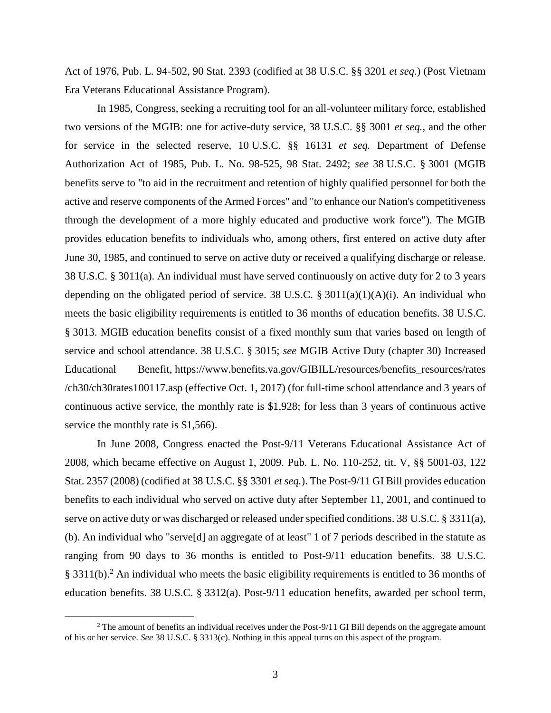Act of 1976, Pub. L. 94-502, 90 Stat. 2393 (codified at 38 U.S.C. §§ 3201 *et seq.*) (Post Vietnam Era Veterans Educational Assistance Program).

In 1985, Congress, seeking a recruiting tool for an all-volunteer military force, established two versions of the MGIB: one for active-duty service, 38 U.S.C. §§ 3001 *et seq.*, and the other for service in the selected reserve, 10 U.S.C. §§ 16131 *et seq.* Department of Defense Authorization Act of 1985, Pub. L. No. 98-525, 98 Stat. 2492; *see* 38 U.S.C. § 3001 (MGIB benefits serve to "to aid in the recruitment and retention of highly qualified personnel for both the active and reserve components of the Armed Forces" and "to enhance our Nation's competitiveness through the development of a more highly educated and productive work force"). The MGIB provides education benefits to individuals who, among others, first entered on active duty after June 30, 1985, and continued to serve on active duty or received a qualifying discharge or release. 38 U.S.C. § 3011(a). An individual must have served continuously on active duty for 2 to 3 years depending on the obligated period of service. 38 U.S.C.  $\S$  3011(a)(1)(A)(i). An individual who meets the basic eligibility requirements is entitled to 36 months of education benefits. 38 U.S.C. § 3013. MGIB education benefits consist of a fixed monthly sum that varies based on length of service and school attendance. 38 U.S.C. § 3015; *see* MGIB Active Duty (chapter 30) Increased Educational Benefit, https://www.benefits.va.gov/GIBILL/resources/benefits\_resources/rates /ch30/ch30rates100117.asp (effective Oct. 1, 2017) (for full-time school attendance and 3 years of continuous active service, the monthly rate is \$1,928; for less than 3 years of continuous active service the monthly rate is \$1,566).

In June 2008, Congress enacted the Post-9/11 Veterans Educational Assistance Act of 2008, which became effective on August 1, 2009. Pub. L. No. 110-252, tit. V, §§ 5001-03, 122 Stat. 2357 (2008) (codified at 38 U.S.C. §§ 3301 *et seq.*). The Post-9/11 GI Bill provides education benefits to each individual who served on active duty after September 11, 2001, and continued to serve on active duty or was discharged or released under specified conditions. 38 U.S.C. § 3311(a), (b). An individual who "serve[d] an aggregate of at least" 1 of 7 periods described in the statute as ranging from 90 days to 36 months is entitled to Post-9/11 education benefits. 38 U.S.C. § 3311(b).<sup>2</sup> An individual who meets the basic eligibility requirements is entitled to 36 months of education benefits. 38 U.S.C. § 3312(a). Post-9/11 education benefits, awarded per school term,

 $2$  The amount of benefits an individual receives under the Post-9/11 GI Bill depends on the aggregate amount of his or her service. *See* 38 U.S.C. § 3313(c). Nothing in this appeal turns on this aspect of the program.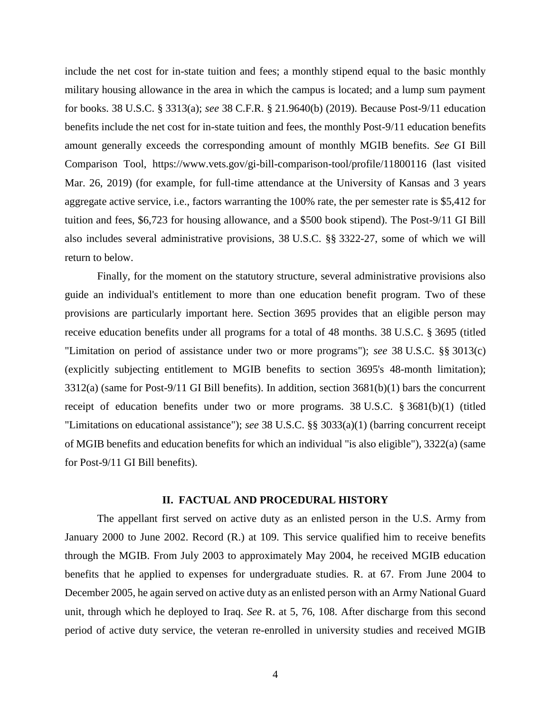include the net cost for in-state tuition and fees; a monthly stipend equal to the basic monthly military housing allowance in the area in which the campus is located; and a lump sum payment for books. 38 U.S.C. § 3313(a); *see* 38 C.F.R. § 21.9640(b) (2019). Because Post-9/11 education benefits include the net cost for in-state tuition and fees, the monthly Post-9/11 education benefits amount generally exceeds the corresponding amount of monthly MGIB benefits. *See* GI Bill Comparison Tool, https://www.vets.gov/gi-bill-comparison-tool/profile/11800116 (last visited Mar. 26, 2019) (for example, for full-time attendance at the University of Kansas and 3 years aggregate active service, i.e., factors warranting the 100% rate, the per semester rate is \$5,412 for tuition and fees, \$6,723 for housing allowance, and a \$500 book stipend). The Post-9/11 GI Bill also includes several administrative provisions, 38 U.S.C. §§ 3322-27, some of which we will return to below.

Finally, for the moment on the statutory structure, several administrative provisions also guide an individual's entitlement to more than one education benefit program. Two of these provisions are particularly important here. Section 3695 provides that an eligible person may receive education benefits under all programs for a total of 48 months. 38 U.S.C. § 3695 (titled "Limitation on period of assistance under two or more programs"); *see* 38 U.S.C. §§ 3013(c) (explicitly subjecting entitlement to MGIB benefits to section 3695's 48-month limitation); 3312(a) (same for Post-9/11 GI Bill benefits). In addition, section 3681(b)(1) bars the concurrent receipt of education benefits under two or more programs. 38 U.S.C. § 3681(b)(1) (titled "Limitations on educational assistance"); *see* 38 U.S.C. §§ 3033(a)(1) (barring concurrent receipt of MGIB benefits and education benefits for which an individual "is also eligible"), 3322(a) (same for Post-9/11 GI Bill benefits).

#### **II. FACTUAL AND PROCEDURAL HISTORY**

The appellant first served on active duty as an enlisted person in the U.S. Army from January 2000 to June 2002. Record (R.) at 109. This service qualified him to receive benefits through the MGIB. From July 2003 to approximately May 2004, he received MGIB education benefits that he applied to expenses for undergraduate studies. R. at 67. From June 2004 to December 2005, he again served on active duty as an enlisted person with an Army National Guard unit, through which he deployed to Iraq. *See* R. at 5, 76, 108. After discharge from this second period of active duty service, the veteran re-enrolled in university studies and received MGIB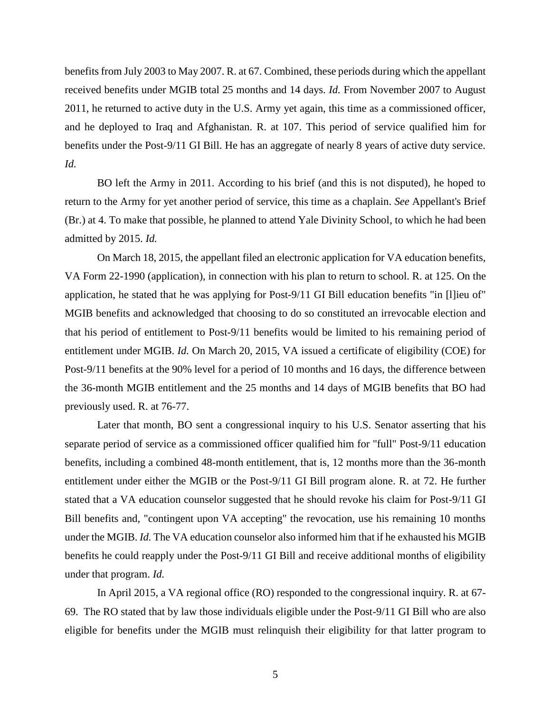benefits from July 2003 to May 2007. R. at 67. Combined, these periods during which the appellant received benefits under MGIB total 25 months and 14 days. *Id.* From November 2007 to August 2011, he returned to active duty in the U.S. Army yet again, this time as a commissioned officer, and he deployed to Iraq and Afghanistan. R. at 107. This period of service qualified him for benefits under the Post-9/11 GI Bill. He has an aggregate of nearly 8 years of active duty service. *Id.*

BO left the Army in 2011. According to his brief (and this is not disputed), he hoped to return to the Army for yet another period of service, this time as a chaplain. *See* Appellant's Brief (Br.) at 4. To make that possible, he planned to attend Yale Divinity School, to which he had been admitted by 2015. *Id.*

On March 18, 2015, the appellant filed an electronic application for VA education benefits, VA Form 22-1990 (application), in connection with his plan to return to school. R. at 125. On the application, he stated that he was applying for Post-9/11 GI Bill education benefits "in [l]ieu of" MGIB benefits and acknowledged that choosing to do so constituted an irrevocable election and that his period of entitlement to Post-9/11 benefits would be limited to his remaining period of entitlement under MGIB. *Id.* On March 20, 2015, VA issued a certificate of eligibility (COE) for Post-9/11 benefits at the 90% level for a period of 10 months and 16 days, the difference between the 36-month MGIB entitlement and the 25 months and 14 days of MGIB benefits that BO had previously used. R. at 76-77.

Later that month, BO sent a congressional inquiry to his U.S. Senator asserting that his separate period of service as a commissioned officer qualified him for "full" Post-9/11 education benefits, including a combined 48-month entitlement, that is, 12 months more than the 36-month entitlement under either the MGIB or the Post-9/11 GI Bill program alone. R. at 72. He further stated that a VA education counselor suggested that he should revoke his claim for Post-9/11 GI Bill benefits and, "contingent upon VA accepting" the revocation, use his remaining 10 months under the MGIB. *Id.* The VA education counselor also informed him that if he exhausted his MGIB benefits he could reapply under the Post-9/11 GI Bill and receive additional months of eligibility under that program. *Id.*

In April 2015, a VA regional office (RO) responded to the congressional inquiry. R. at 67- 69. The RO stated that by law those individuals eligible under the Post-9/11 GI Bill who are also eligible for benefits under the MGIB must relinquish their eligibility for that latter program to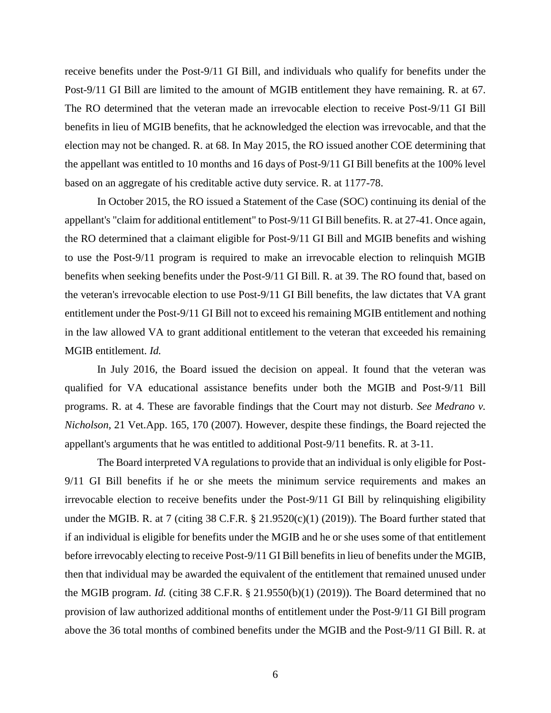receive benefits under the Post-9/11 GI Bill, and individuals who qualify for benefits under the Post-9/11 GI Bill are limited to the amount of MGIB entitlement they have remaining. R. at 67. The RO determined that the veteran made an irrevocable election to receive Post-9/11 GI Bill benefits in lieu of MGIB benefits, that he acknowledged the election was irrevocable, and that the election may not be changed. R. at 68. In May 2015, the RO issued another COE determining that the appellant was entitled to 10 months and 16 days of Post-9/11 GI Bill benefits at the 100% level based on an aggregate of his creditable active duty service. R. at 1177-78.

In October 2015, the RO issued a Statement of the Case (SOC) continuing its denial of the appellant's "claim for additional entitlement" to Post-9/11 GI Bill benefits. R. at 27-41. Once again, the RO determined that a claimant eligible for Post-9/11 GI Bill and MGIB benefits and wishing to use the Post-9/11 program is required to make an irrevocable election to relinquish MGIB benefits when seeking benefits under the Post-9/11 GI Bill. R. at 39. The RO found that, based on the veteran's irrevocable election to use Post-9/11 GI Bill benefits, the law dictates that VA grant entitlement under the Post-9/11 GI Bill not to exceed his remaining MGIB entitlement and nothing in the law allowed VA to grant additional entitlement to the veteran that exceeded his remaining MGIB entitlement. *Id.* 

In July 2016, the Board issued the decision on appeal. It found that the veteran was qualified for VA educational assistance benefits under both the MGIB and Post-9/11 Bill programs. R. at 4. These are favorable findings that the Court may not disturb. *See Medrano v. Nicholson*, 21 Vet.App. 165, 170 (2007). However, despite these findings, the Board rejected the appellant's arguments that he was entitled to additional Post-9/11 benefits. R. at 3-11.

The Board interpreted VA regulations to provide that an individual is only eligible for Post-9/11 GI Bill benefits if he or she meets the minimum service requirements and makes an irrevocable election to receive benefits under the Post-9/11 GI Bill by relinquishing eligibility under the MGIB. R. at 7 (citing 38 C.F.R. § 21.9520(c)(1) (2019)). The Board further stated that if an individual is eligible for benefits under the MGIB and he or she uses some of that entitlement before irrevocably electing to receive Post-9/11 GI Bill benefits in lieu of benefits under the MGIB, then that individual may be awarded the equivalent of the entitlement that remained unused under the MGIB program. *Id.* (citing 38 C.F.R. § 21.9550(b)(1) (2019)). The Board determined that no provision of law authorized additional months of entitlement under the Post-9/11 GI Bill program above the 36 total months of combined benefits under the MGIB and the Post-9/11 GI Bill. R. at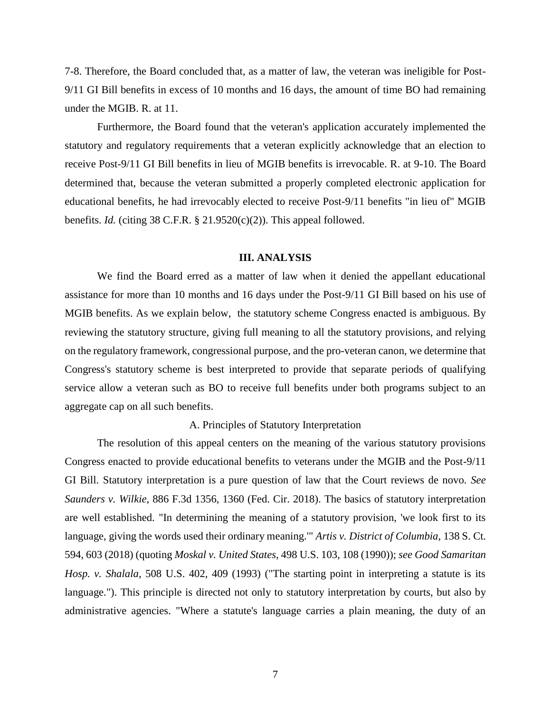7-8. Therefore, the Board concluded that, as a matter of law, the veteran was ineligible for Post-9/11 GI Bill benefits in excess of 10 months and 16 days, the amount of time BO had remaining under the MGIB. R. at 11.

Furthermore, the Board found that the veteran's application accurately implemented the statutory and regulatory requirements that a veteran explicitly acknowledge that an election to receive Post-9/11 GI Bill benefits in lieu of MGIB benefits is irrevocable. R. at 9-10. The Board determined that, because the veteran submitted a properly completed electronic application for educational benefits, he had irrevocably elected to receive Post-9/11 benefits "in lieu of" MGIB benefits. *Id.* (citing 38 C.F.R.  $\S$  21.9520(c)(2)). This appeal followed.

#### **III. ANALYSIS**

We find the Board erred as a matter of law when it denied the appellant educational assistance for more than 10 months and 16 days under the Post-9/11 GI Bill based on his use of MGIB benefits. As we explain below, the statutory scheme Congress enacted is ambiguous. By reviewing the statutory structure, giving full meaning to all the statutory provisions, and relying on the regulatory framework, congressional purpose, and the pro-veteran canon, we determine that Congress's statutory scheme is best interpreted to provide that separate periods of qualifying service allow a veteran such as BO to receive full benefits under both programs subject to an aggregate cap on all such benefits.

#### A. Principles of Statutory Interpretation

The resolution of this appeal centers on the meaning of the various statutory provisions Congress enacted to provide educational benefits to veterans under the MGIB and the Post-9/11 GI Bill. Statutory interpretation is a pure question of law that the Court reviews de novo. *See Saunders v. Wilkie*, 886 F.3d 1356, 1360 (Fed. Cir. 2018). The basics of statutory interpretation are well established. "In determining the meaning of a statutory provision, 'we look first to its language, giving the words used their ordinary meaning.'" *Artis v. District of Columbia*, 138 S. Ct. 594, 603 (2018) (quoting *Moskal v. United States*, 498 U.S. 103, 108 (1990)); *see Good Samaritan Hosp. v. Shalala*, 508 U.S. 402, 409 (1993) ("The starting point in interpreting a statute is its language."). This principle is directed not only to statutory interpretation by courts, but also by administrative agencies. "Where a statute's language carries a plain meaning, the duty of an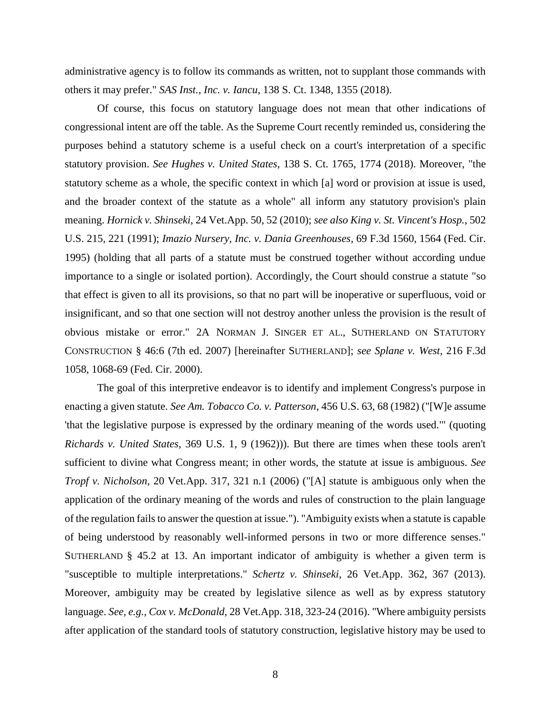administrative agency is to follow its commands as written, not to supplant those commands with others it may prefer." *SAS Inst., Inc. v. Iancu*, 138 S. Ct. 1348, 1355 (2018).

Of course, this focus on statutory language does not mean that other indications of congressional intent are off the table. As the Supreme Court recently reminded us, considering the purposes behind a statutory scheme is a useful check on a court's interpretation of a specific statutory provision. *See Hughes v. United States*, 138 S. Ct. 1765, 1774 (2018). Moreover, "the statutory scheme as a whole, the specific context in which [a] word or provision at issue is used, and the broader context of the statute as a whole" all inform any statutory provision's plain meaning. *Hornick v. Shinseki*, 24 Vet.App. 50, 52 (2010); *see also King v. St. Vincent's Hosp.*, 502 U.S. 215, 221 (1991); *Imazio Nursery, Inc. v. Dania Greenhouses*, 69 F.3d 1560, 1564 (Fed. Cir. 1995) (holding that all parts of a statute must be construed together without according undue importance to a single or isolated portion). Accordingly, the Court should construe a statute "so that effect is given to all its provisions, so that no part will be inoperative or superfluous, void or insignificant, and so that one section will not destroy another unless the provision is the result of obvious mistake or error." 2A NORMAN J. SINGER ET AL., SUTHERLAND ON STATUTORY CONSTRUCTION § 46:6 (7th ed. 2007) [hereinafter SUTHERLAND]; *see Splane v. West*, 216 F.3d 1058, 1068-69 (Fed. Cir. 2000).

The goal of this interpretive endeavor is to identify and implement Congress's purpose in enacting a given statute. *See Am. Tobacco Co. v. Patterson*, 456 U.S. 63, 68 (1982) ("[W]e assume 'that the legislative purpose is expressed by the ordinary meaning of the words used.'" (quoting *Richards v. United States*, 369 U.S. 1, 9 (1962))). But there are times when these tools aren't sufficient to divine what Congress meant; in other words, the statute at issue is ambiguous. *See Tropf v. Nicholson*, 20 Vet.App. 317, 321 n.1 (2006) ("[A] statute is ambiguous only when the application of the ordinary meaning of the words and rules of construction to the plain language of the regulation fails to answer the question at issue."). "Ambiguity exists when a statute is capable of being understood by reasonably well-informed persons in two or more difference senses." SUTHERLAND  $\S$  45.2 at 13. An important indicator of ambiguity is whether a given term is "susceptible to multiple interpretations." *Schertz v. Shinseki*, 26 Vet.App. 362, 367 (2013). Moreover, ambiguity may be created by legislative silence as well as by express statutory language. *See, e.g., Cox v. McDonald,* 28 Vet.App. 318, 323-24 (2016). "Where ambiguity persists after application of the standard tools of statutory construction, legislative history may be used to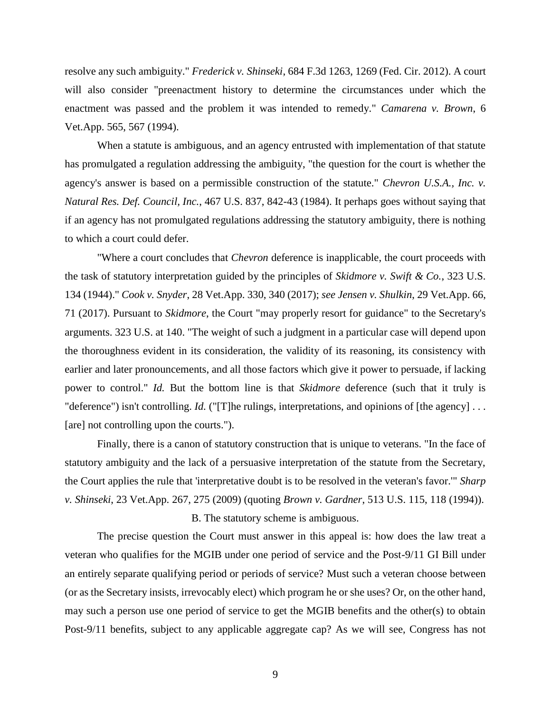resolve any such ambiguity." *Frederick v. Shinseki*, 684 F.3d 1263, 1269 (Fed. Cir. 2012). A court will also consider "preenactment history to determine the circumstances under which the enactment was passed and the problem it was intended to remedy." *Camarena v. Brown*, 6 Vet.App. 565, 567 (1994).

When a statute is ambiguous, and an agency entrusted with implementation of that statute has promulgated a regulation addressing the ambiguity, "the question for the court is whether the agency's answer is based on a permissible construction of the statute." *Chevron U.S.A., Inc. v. Natural Res. Def. Council, Inc.*, 467 U.S. 837, 842-43 (1984). It perhaps goes without saying that if an agency has not promulgated regulations addressing the statutory ambiguity, there is nothing to which a court could defer.

"Where a court concludes that *Chevron* deference is inapplicable, the court proceeds with the task of statutory interpretation guided by the principles of *Skidmore v. Swift & Co.*, 323 U.S. 134 (1944)." *Cook v. Snyder*, 28 Vet.App. 330, 340 (2017); *see Jensen v. Shulkin*, 29 Vet.App. 66, 71 (2017). Pursuant to *Skidmore*, the Court "may properly resort for guidance" to the Secretary's arguments. 323 U.S. at 140. "The weight of such a judgment in a particular case will depend upon the thoroughness evident in its consideration, the validity of its reasoning, its consistency with earlier and later pronouncements, and all those factors which give it power to persuade, if lacking power to control." *Id.* But the bottom line is that *Skidmore* deference (such that it truly is "deference") isn't controlling. *Id.* ("[T]he rulings, interpretations, and opinions of [the agency] ... [are] not controlling upon the courts.").

Finally, there is a canon of statutory construction that is unique to veterans. "In the face of statutory ambiguity and the lack of a persuasive interpretation of the statute from the Secretary, the Court applies the rule that 'interpretative doubt is to be resolved in the veteran's favor.'" *Sharp v. Shinseki*, 23 Vet.App. 267, 275 (2009) (quoting *Brown v. Gardner*, 513 U.S. 115, 118 (1994)).

#### B. The statutory scheme is ambiguous.

The precise question the Court must answer in this appeal is: how does the law treat a veteran who qualifies for the MGIB under one period of service and the Post-9/11 GI Bill under an entirely separate qualifying period or periods of service? Must such a veteran choose between (or as the Secretary insists, irrevocably elect) which program he or she uses? Or, on the other hand, may such a person use one period of service to get the MGIB benefits and the other(s) to obtain Post-9/11 benefits, subject to any applicable aggregate cap? As we will see, Congress has not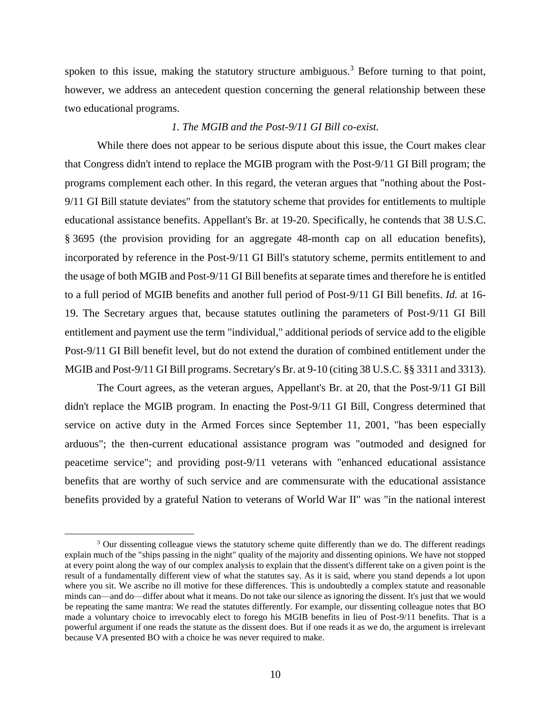spoken to this issue, making the statutory structure ambiguous.<sup>3</sup> Before turning to that point, however, we address an antecedent question concerning the general relationship between these two educational programs.

#### *1. The MGIB and the Post-9/11 GI Bill co-exist.*

While there does not appear to be serious dispute about this issue, the Court makes clear that Congress didn't intend to replace the MGIB program with the Post-9/11 GI Bill program; the programs complement each other. In this regard, the veteran argues that "nothing about the Post-9/11 GI Bill statute deviates" from the statutory scheme that provides for entitlements to multiple educational assistance benefits. Appellant's Br. at 19-20. Specifically, he contends that 38 U.S.C. § 3695 (the provision providing for an aggregate 48-month cap on all education benefits), incorporated by reference in the Post-9/11 GI Bill's statutory scheme, permits entitlement to and the usage of both MGIB and Post-9/11 GI Bill benefits at separate times and therefore he is entitled to a full period of MGIB benefits and another full period of Post-9/11 GI Bill benefits. *Id.* at 16- 19. The Secretary argues that, because statutes outlining the parameters of Post-9/11 GI Bill entitlement and payment use the term "individual," additional periods of service add to the eligible Post-9/11 GI Bill benefit level, but do not extend the duration of combined entitlement under the MGIB and Post-9/11 GI Bill programs. Secretary's Br. at 9-10 (citing 38 U.S.C. §§ 3311 and 3313).

The Court agrees, as the veteran argues, Appellant's Br. at 20, that the Post-9/11 GI Bill didn't replace the MGIB program. In enacting the Post-9/11 GI Bill, Congress determined that service on active duty in the Armed Forces since September 11, 2001, "has been especially arduous"; the then-current educational assistance program was "outmoded and designed for peacetime service"; and providing post-9/11 veterans with "enhanced educational assistance benefits that are worthy of such service and are commensurate with the educational assistance benefits provided by a grateful Nation to veterans of World War II" was "in the national interest

<sup>&</sup>lt;sup>3</sup> Our dissenting colleague views the statutory scheme quite differently than we do. The different readings explain much of the "ships passing in the night" quality of the majority and dissenting opinions. We have not stopped at every point along the way of our complex analysis to explain that the dissent's different take on a given point is the result of a fundamentally different view of what the statutes say. As it is said, where you stand depends a lot upon where you sit. We ascribe no ill motive for these differences. This is undoubtedly a complex statute and reasonable minds can—and do—differ about what it means. Do not take our silence as ignoring the dissent. It's just that we would be repeating the same mantra: We read the statutes differently. For example, our dissenting colleague notes that BO made a voluntary choice to irrevocably elect to forego his MGIB benefits in lieu of Post-9/11 benefits. That is a powerful argument if one reads the statute as the dissent does. But if one reads it as we do, the argument is irrelevant because VA presented BO with a choice he was never required to make.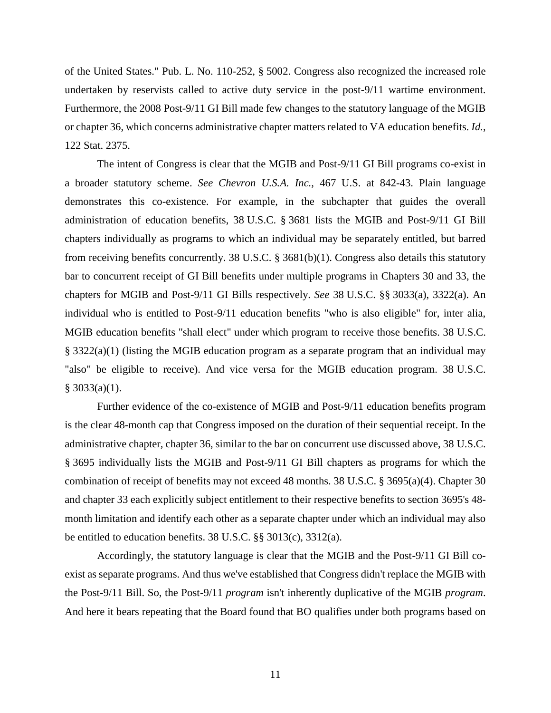of the United States." Pub. L. No. 110-252, § 5002. Congress also recognized the increased role undertaken by reservists called to active duty service in the post-9/11 wartime environment. Furthermore, the 2008 Post-9/11 GI Bill made few changes to the statutory language of the MGIB or chapter 36, which concerns administrative chapter matters related to VA education benefits. *Id.*, 122 Stat. 2375.

The intent of Congress is clear that the MGIB and Post-9/11 GI Bill programs co-exist in a broader statutory scheme. *See Chevron U.S.A. Inc.,* 467 U.S. at 842-43. Plain language demonstrates this co-existence. For example, in the subchapter that guides the overall administration of education benefits, 38 U.S.C. § 3681 lists the MGIB and Post-9/11 GI Bill chapters individually as programs to which an individual may be separately entitled, but barred from receiving benefits concurrently. 38 U.S.C. § 3681(b)(1). Congress also details this statutory bar to concurrent receipt of GI Bill benefits under multiple programs in Chapters 30 and 33, the chapters for MGIB and Post-9/11 GI Bills respectively. *See* 38 U.S.C. §§ 3033(a), 3322(a). An individual who is entitled to Post-9/11 education benefits "who is also eligible" for, inter alia, MGIB education benefits "shall elect" under which program to receive those benefits. 38 U.S.C. § 3322(a)(1) (listing the MGIB education program as a separate program that an individual may "also" be eligible to receive). And vice versa for the MGIB education program. 38 U.S.C.  $§$  3033(a)(1).

Further evidence of the co-existence of MGIB and Post-9/11 education benefits program is the clear 48-month cap that Congress imposed on the duration of their sequential receipt. In the administrative chapter, chapter 36, similar to the bar on concurrent use discussed above, 38 U.S.C. § 3695 individually lists the MGIB and Post-9/11 GI Bill chapters as programs for which the combination of receipt of benefits may not exceed 48 months. 38 U.S.C. § 3695(a)(4). Chapter 30 and chapter 33 each explicitly subject entitlement to their respective benefits to section 3695's 48 month limitation and identify each other as a separate chapter under which an individual may also be entitled to education benefits. 38 U.S.C. §§ 3013(c), 3312(a).

Accordingly, the statutory language is clear that the MGIB and the Post-9/11 GI Bill coexist as separate programs. And thus we've established that Congress didn't replace the MGIB with the Post-9/11 Bill. So, the Post-9/11 *program* isn't inherently duplicative of the MGIB *program*. And here it bears repeating that the Board found that BO qualifies under both programs based on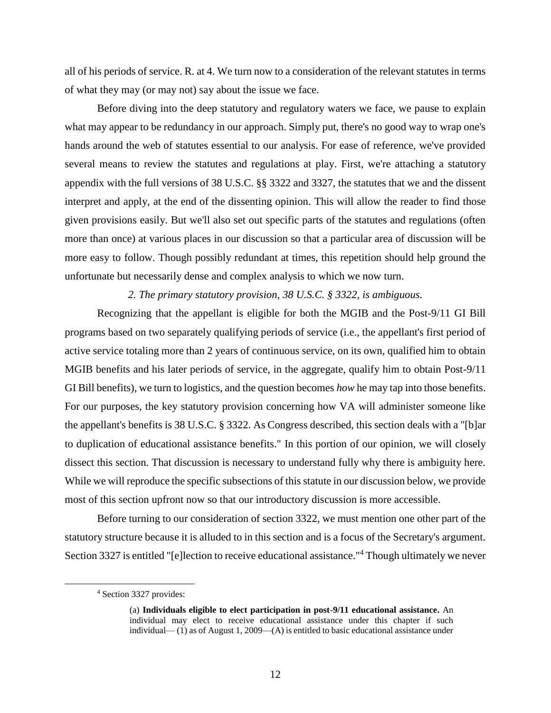all of his periods of service. R. at 4. We turn now to a consideration of the relevant statutes in terms of what they may (or may not) say about the issue we face.

Before diving into the deep statutory and regulatory waters we face, we pause to explain what may appear to be redundancy in our approach. Simply put, there's no good way to wrap one's hands around the web of statutes essential to our analysis. For ease of reference, we've provided several means to review the statutes and regulations at play. First, we're attaching a statutory appendix with the full versions of 38 U.S.C. §§ 3322 and 3327, the statutes that we and the dissent interpret and apply, at the end of the dissenting opinion. This will allow the reader to find those given provisions easily. But we'll also set out specific parts of the statutes and regulations (often more than once) at various places in our discussion so that a particular area of discussion will be more easy to follow. Though possibly redundant at times, this repetition should help ground the unfortunate but necessarily dense and complex analysis to which we now turn.

#### *2. The primary statutory provision, 38 U.S.C. § 3322, is ambiguous.*

Recognizing that the appellant is eligible for both the MGIB and the Post-9/11 GI Bill programs based on two separately qualifying periods of service (i.e., the appellant's first period of active service totaling more than 2 years of continuous service, on its own, qualified him to obtain MGIB benefits and his later periods of service, in the aggregate, qualify him to obtain Post-9/11 GI Bill benefits), we turn to logistics, and the question becomes *how* he may tap into those benefits. For our purposes, the key statutory provision concerning how VA will administer someone like the appellant's benefits is 38 U.S.C. § 3322. As Congress described, this section deals with a "[b]ar to duplication of educational assistance benefits." In this portion of our opinion, we will closely dissect this section. That discussion is necessary to understand fully why there is ambiguity here. While we will reproduce the specific subsections of this statute in our discussion below, we provide most of this section upfront now so that our introductory discussion is more accessible.

Before turning to our consideration of section 3322, we must mention one other part of the statutory structure because it is alluded to in this section and is a focus of the Secretary's argument. Section 3327 is entitled "[e]lection to receive educational assistance."<sup>4</sup> Though ultimately we never

<sup>4</sup> Section 3327 provides:

<sup>(</sup>a) **Individuals eligible to elect participation in post-9/11 educational assistance.** An individual may elect to receive educational assistance under this chapter if such individual— $(1)$  as of August 1, 2009— $(A)$  is entitled to basic educational assistance under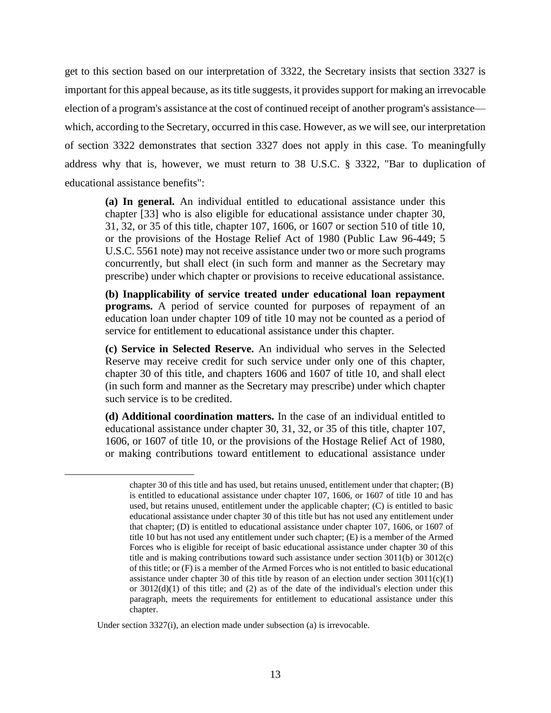get to this section based on our interpretation of 3322, the Secretary insists that section 3327 is important for this appeal because, as its title suggests, it provides support for making an irrevocable election of a program's assistance at the cost of continued receipt of another program's assistance which, according to the Secretary, occurred in this case. However, as we will see, our interpretation of section 3322 demonstrates that section 3327 does not apply in this case. To meaningfully address why that is, however, we must return to 38 U.S.C. § 3322, "Bar to duplication of educational assistance benefits":

**(a) In general.** An individual entitled to educational assistance under this chapter [33] who is also eligible for educational assistance under chapter 30, 31, 32, or 35 of this title, chapter 107, 1606, or 1607 or section 510 of title 10, or the provisions of the Hostage Relief Act of 1980 (Public Law 96-449; 5 U.S.C. 5561 note) may not receive assistance under two or more such programs concurrently, but shall elect (in such form and manner as the Secretary may prescribe) under which chapter or provisions to receive educational assistance.

**(b) Inapplicability of service treated under educational loan repayment programs.** A period of service counted for purposes of repayment of an education loan under chapter 109 of title 10 may not be counted as a period of service for entitlement to educational assistance under this chapter.

**(c) Service in Selected Reserve.** An individual who serves in the Selected Reserve may receive credit for such service under only one of this chapter, chapter 30 of this title, and chapters 1606 and 1607 of title 10, and shall elect (in such form and manner as the Secretary may prescribe) under which chapter such service is to be credited.

**(d) Additional coordination matters.** In the case of an individual entitled to educational assistance under chapter 30, 31, 32, or 35 of this title, chapter 107, 1606, or 1607 of title 10, or the provisions of the Hostage Relief Act of 1980, or making contributions toward entitlement to educational assistance under

Under section 3327(i), an election made under subsection (a) is irrevocable.

chapter 30 of this title and has used, but retains unused, entitlement under that chapter; (B) is entitled to educational assistance under chapter 107, 1606, or 1607 of title 10 and has used, but retains unused, entitlement under the applicable chapter; (C) is entitled to basic educational assistance under chapter 30 of this title but has not used any entitlement under that chapter; (D) is entitled to educational assistance under chapter 107, 1606, or 1607 of title 10 but has not used any entitlement under such chapter; (E) is a member of the Armed Forces who is eligible for receipt of basic educational assistance under chapter 30 of this title and is making contributions toward such assistance under section 3011(b) or 3012(c) of this title; or (F) is a member of the Armed Forces who is not entitled to basic educational assistance under chapter 30 of this title by reason of an election under section  $3011(c)(1)$ or 3012(d)(1) of this title; and (2) as of the date of the individual's election under this paragraph, meets the requirements for entitlement to educational assistance under this chapter.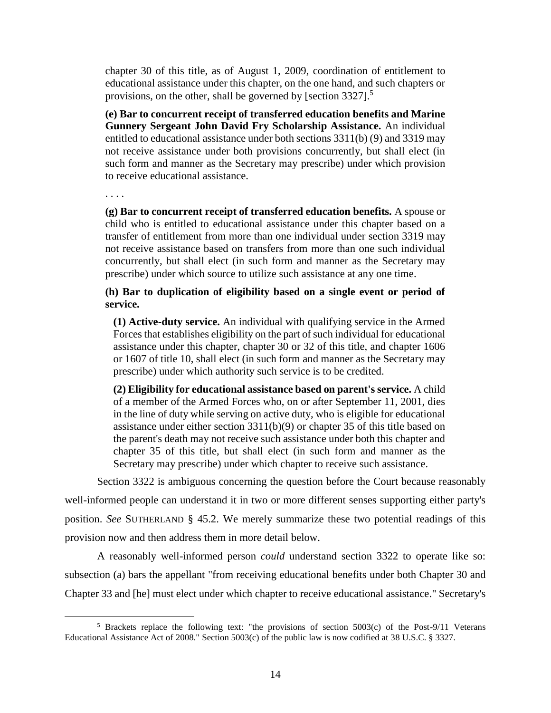chapter 30 of this title, as of August 1, 2009, coordination of entitlement to educational assistance under this chapter, on the one hand, and such chapters or provisions, on the other, shall be governed by [section 3327].<sup>5</sup>

**(e) Bar to concurrent receipt of transferred education benefits and Marine Gunnery Sergeant John David Fry Scholarship Assistance.** An individual entitled to educational assistance under both sections 3311(b) (9) and 3319 may not receive assistance under both provisions concurrently, but shall elect (in such form and manner as the Secretary may prescribe) under which provision to receive educational assistance.

. . . .

 $\overline{a}$ 

**(g) Bar to concurrent receipt of transferred education benefits.** A spouse or child who is entitled to educational assistance under this chapter based on a transfer of entitlement from more than one individual under section 3319 may not receive assistance based on transfers from more than one such individual concurrently, but shall elect (in such form and manner as the Secretary may prescribe) under which source to utilize such assistance at any one time.

**(h) Bar to duplication of eligibility based on a single event or period of service.**

**(1) Active-duty service.** An individual with qualifying service in the Armed Forces that establishes eligibility on the part of such individual for educational assistance under this chapter, chapter 30 or 32 of this title, and chapter 1606 or 1607 of title 10, shall elect (in such form and manner as the Secretary may prescribe) under which authority such service is to be credited.

**(2) Eligibility for educational assistance based on parent's service.** A child of a member of the Armed Forces who, on or after September 11, 2001, dies in the line of duty while serving on active duty, who is eligible for educational assistance under either section 3311(b)(9) or chapter 35 of this title based on the parent's death may not receive such assistance under both this chapter and chapter 35 of this title, but shall elect (in such form and manner as the Secretary may prescribe) under which chapter to receive such assistance.

Section 3322 is ambiguous concerning the question before the Court because reasonably well-informed people can understand it in two or more different senses supporting either party's position. *See* SUTHERLAND § 45.2. We merely summarize these two potential readings of this provision now and then address them in more detail below.

A reasonably well-informed person *could* understand section 3322 to operate like so: subsection (a) bars the appellant "from receiving educational benefits under both Chapter 30 and Chapter 33 and [he] must elect under which chapter to receive educational assistance." Secretary's

<sup>5</sup> Brackets replace the following text: "the provisions of section 5003(c) of the Post-9/11 Veterans Educational Assistance Act of 2008." Section 5003(c) of the public law is now codified at 38 U.S.C. § 3327.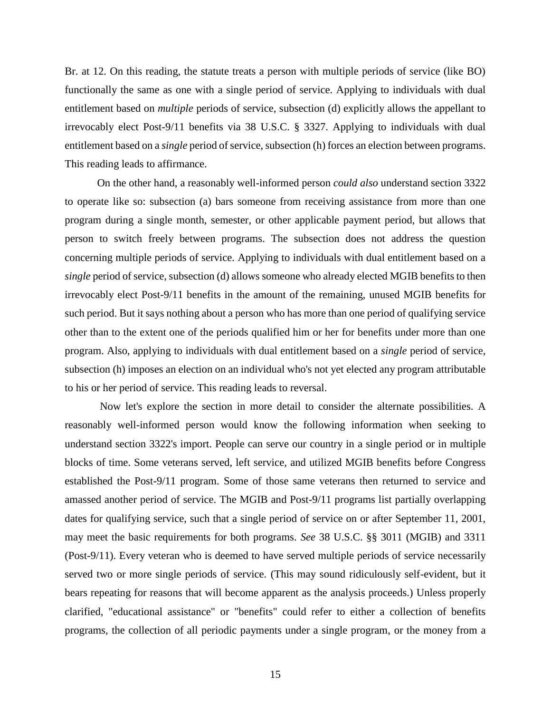Br. at 12. On this reading, the statute treats a person with multiple periods of service (like BO) functionally the same as one with a single period of service. Applying to individuals with dual entitlement based on *multiple* periods of service, subsection (d) explicitly allows the appellant to irrevocably elect Post-9/11 benefits via 38 U.S.C. § 3327. Applying to individuals with dual entitlement based on a *single* period of service, subsection (h) forces an election between programs. This reading leads to affirmance.

On the other hand, a reasonably well-informed person *could also* understand section 3322 to operate like so: subsection (a) bars someone from receiving assistance from more than one program during a single month, semester, or other applicable payment period, but allows that person to switch freely between programs. The subsection does not address the question concerning multiple periods of service. Applying to individuals with dual entitlement based on a *single* period of service, subsection (d) allows someone who already elected MGIB benefits to then irrevocably elect Post-9/11 benefits in the amount of the remaining, unused MGIB benefits for such period. But it says nothing about a person who has more than one period of qualifying service other than to the extent one of the periods qualified him or her for benefits under more than one program. Also, applying to individuals with dual entitlement based on a *single* period of service, subsection (h) imposes an election on an individual who's not yet elected any program attributable to his or her period of service. This reading leads to reversal.

Now let's explore the section in more detail to consider the alternate possibilities. A reasonably well-informed person would know the following information when seeking to understand section 3322's import. People can serve our country in a single period or in multiple blocks of time. Some veterans served, left service, and utilized MGIB benefits before Congress established the Post-9/11 program. Some of those same veterans then returned to service and amassed another period of service. The MGIB and Post-9/11 programs list partially overlapping dates for qualifying service, such that a single period of service on or after September 11, 2001, may meet the basic requirements for both programs. *See* 38 U.S.C. §§ 3011 (MGIB) and 3311 (Post-9/11). Every veteran who is deemed to have served multiple periods of service necessarily served two or more single periods of service. (This may sound ridiculously self-evident, but it bears repeating for reasons that will become apparent as the analysis proceeds.) Unless properly clarified, "educational assistance" or "benefits" could refer to either a collection of benefits programs, the collection of all periodic payments under a single program, or the money from a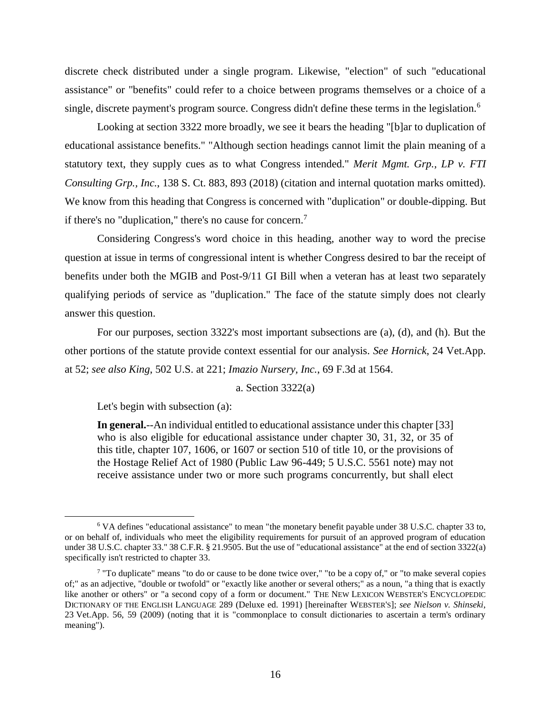discrete check distributed under a single program. Likewise, "election" of such "educational assistance" or "benefits" could refer to a choice between programs themselves or a choice of a single, discrete payment's program source. Congress didn't define these terms in the legislation.<sup>6</sup>

Looking at section 3322 more broadly, we see it bears the heading "[b]ar to duplication of educational assistance benefits." "Although section headings cannot limit the plain meaning of a statutory text, they supply cues as to what Congress intended." *Merit Mgmt. Grp., LP v. FTI Consulting Grp., Inc.*, 138 S. Ct. 883, 893 (2018) (citation and internal quotation marks omitted). We know from this heading that Congress is concerned with "duplication" or double-dipping. But if there's no "duplication," there's no cause for concern.<sup>7</sup>

Considering Congress's word choice in this heading, another way to word the precise question at issue in terms of congressional intent is whether Congress desired to bar the receipt of benefits under both the MGIB and Post-9/11 GI Bill when a veteran has at least two separately qualifying periods of service as "duplication." The face of the statute simply does not clearly answer this question.

For our purposes, section 3322's most important subsections are (a), (d), and (h). But the other portions of the statute provide context essential for our analysis. *See Hornick*, 24 Vet.App. at 52; *see also King*, 502 U.S. at 221; *Imazio Nursery, Inc.*, 69 F.3d at 1564.

#### a. Section 3322(a)

Let's begin with subsection (a):

 $\overline{a}$ 

**In general.**--An individual entitled to educational assistance under this chapter [33] who is also eligible for educational assistance under chapter 30, 31, 32, or 35 of this title, chapter 107, 1606, or 1607 or section 510 of title 10, or the provisions of the Hostage Relief Act of 1980 (Public Law 96-449; 5 U.S.C. 5561 note) may not receive assistance under two or more such programs concurrently, but shall elect

<sup>6</sup> VA defines "educational assistance" to mean "the monetary benefit payable under 38 U.S.C. chapter 33 to, or on behalf of, individuals who meet the eligibility requirements for pursuit of an approved program of education under 38 U.S.C. chapter 33." 38 C.F.R. § 21.9505. But the use of "educational assistance" at the end of section 3322(a) specifically isn't restricted to chapter 33.

<sup>&</sup>lt;sup>7</sup> "To duplicate" means "to do or cause to be done twice over," "to be a copy of," or "to make several copies of;" as an adjective, "double or twofold" or "exactly like another or several others;" as a noun, "a thing that is exactly like another or others" or "a second copy of a form or document." THE NEW LEXICON WEBSTER'S ENCYCLOPEDIC DICTIONARY OF THE ENGLISH LANGUAGE 289 (Deluxe ed. 1991) [hereinafter WEBSTER'S]; *see Nielson v. Shinseki*, 23 Vet.App. 56, 59 (2009) (noting that it is "commonplace to consult dictionaries to ascertain a term's ordinary meaning").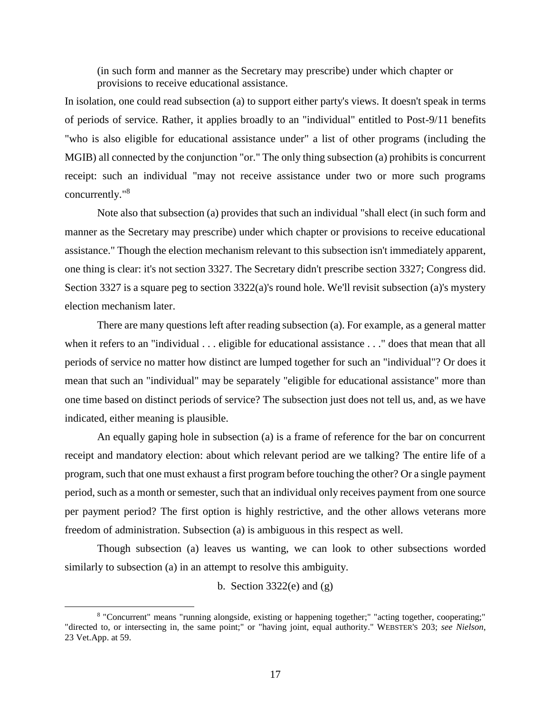(in such form and manner as the Secretary may prescribe) under which chapter or provisions to receive educational assistance.

In isolation, one could read subsection (a) to support either party's views. It doesn't speak in terms of periods of service. Rather, it applies broadly to an "individual" entitled to Post-9/11 benefits "who is also eligible for educational assistance under" a list of other programs (including the MGIB) all connected by the conjunction "or." The only thing subsection (a) prohibits is concurrent receipt: such an individual "may not receive assistance under two or more such programs concurrently."<sup>8</sup>

Note also that subsection (a) provides that such an individual "shall elect (in such form and manner as the Secretary may prescribe) under which chapter or provisions to receive educational assistance." Though the election mechanism relevant to this subsection isn't immediately apparent, one thing is clear: it's not section 3327. The Secretary didn't prescribe section 3327; Congress did. Section 3327 is a square peg to section 3322(a)'s round hole. We'll revisit subsection (a)'s mystery election mechanism later.

There are many questions left after reading subsection (a). For example, as a general matter when it refers to an "individual . . . eligible for educational assistance . . ." does that mean that all periods of service no matter how distinct are lumped together for such an "individual"? Or does it mean that such an "individual" may be separately "eligible for educational assistance" more than one time based on distinct periods of service? The subsection just does not tell us, and, as we have indicated, either meaning is plausible.

An equally gaping hole in subsection (a) is a frame of reference for the bar on concurrent receipt and mandatory election: about which relevant period are we talking? The entire life of a program, such that one must exhaust a first program before touching the other? Or a single payment period, such as a month or semester, such that an individual only receives payment from one source per payment period? The first option is highly restrictive, and the other allows veterans more freedom of administration. Subsection (a) is ambiguous in this respect as well.

Though subsection (a) leaves us wanting, we can look to other subsections worded similarly to subsection (a) in an attempt to resolve this ambiguity.

b. Section  $3322(e)$  and  $(g)$ 

<sup>8</sup> "Concurrent" means "running alongside, existing or happening together;" "acting together, cooperating;" "directed to, or intersecting in, the same point;" or "having joint, equal authority." WEBSTER'S 203; *see Nielson*, 23 Vet.App. at 59.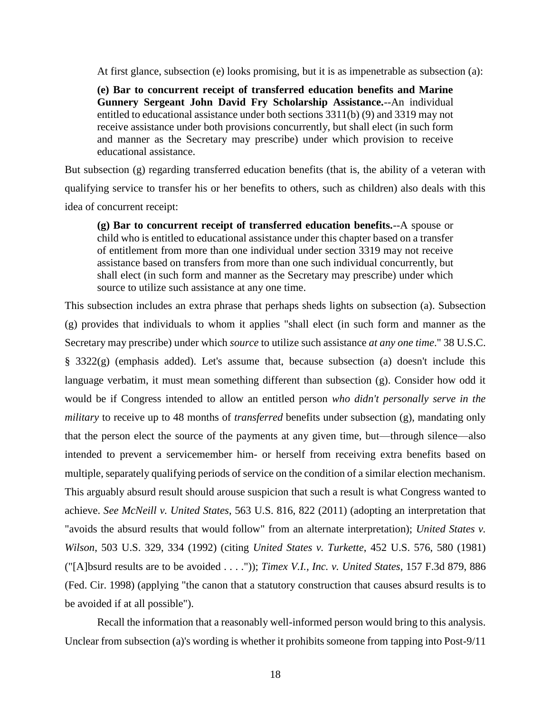At first glance, subsection (e) looks promising, but it is as impenetrable as subsection (a):

**(e) Bar to concurrent receipt of transferred education benefits and Marine Gunnery Sergeant John David Fry Scholarship Assistance.**--An individual entitled to educational assistance under both sections 3311(b) (9) and 3319 may not receive assistance under both provisions concurrently, but shall elect (in such form and manner as the Secretary may prescribe) under which provision to receive educational assistance.

But subsection (g) regarding transferred education benefits (that is, the ability of a veteran with qualifying service to transfer his or her benefits to others, such as children) also deals with this idea of concurrent receipt:

**(g) Bar to concurrent receipt of transferred education benefits.**--A spouse or child who is entitled to educational assistance under this chapter based on a transfer of entitlement from more than one individual under section 3319 may not receive assistance based on transfers from more than one such individual concurrently, but shall elect (in such form and manner as the Secretary may prescribe) under which source to utilize such assistance at any one time.

This subsection includes an extra phrase that perhaps sheds lights on subsection (a). Subsection (g) provides that individuals to whom it applies "shall elect (in such form and manner as the Secretary may prescribe) under which *source* to utilize such assistance *at any one time*." 38 U.S.C. § 3322(g) (emphasis added). Let's assume that, because subsection (a) doesn't include this language verbatim, it must mean something different than subsection (g). Consider how odd it would be if Congress intended to allow an entitled person *who didn't personally serve in the military* to receive up to 48 months of *transferred* benefits under subsection (g), mandating only that the person elect the source of the payments at any given time, but—through silence—also intended to prevent a servicemember him- or herself from receiving extra benefits based on multiple, separately qualifying periods of service on the condition of a similar election mechanism. This arguably absurd result should arouse suspicion that such a result is what Congress wanted to achieve. *See McNeill v. United States*, 563 U.S. 816, 822 (2011) (adopting an interpretation that "avoids the absurd results that would follow" from an alternate interpretation); *United States v. Wilson*, 503 U.S. 329, 334 (1992) (citing *United States v. Turkette*, 452 U.S. 576, 580 (1981) ("[A]bsurd results are to be avoided . . . .")); *Timex V.I., Inc. v. United States*, 157 F.3d 879, 886 (Fed. Cir. 1998) (applying "the canon that a statutory construction that causes absurd results is to be avoided if at all possible").

Recall the information that a reasonably well-informed person would bring to this analysis. Unclear from subsection (a)'s wording is whether it prohibits someone from tapping into Post-9/11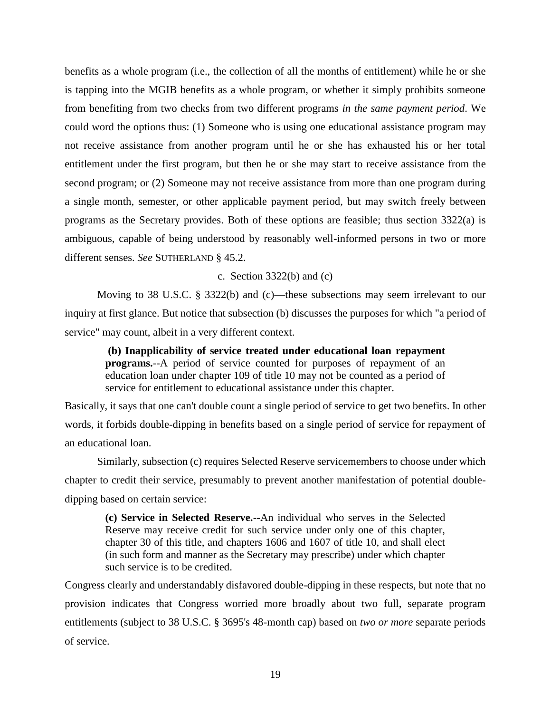benefits as a whole program (i.e., the collection of all the months of entitlement) while he or she is tapping into the MGIB benefits as a whole program, or whether it simply prohibits someone from benefiting from two checks from two different programs *in the same payment period*. We could word the options thus: (1) Someone who is using one educational assistance program may not receive assistance from another program until he or she has exhausted his or her total entitlement under the first program, but then he or she may start to receive assistance from the second program; or (2) Someone may not receive assistance from more than one program during a single month, semester, or other applicable payment period, but may switch freely between programs as the Secretary provides. Both of these options are feasible; thus section 3322(a) is ambiguous, capable of being understood by reasonably well-informed persons in two or more different senses. *See* SUTHERLAND § 45.2.

#### c. Section  $3322(b)$  and (c)

Moving to 38 U.S.C. § 3322(b) and (c)—these subsections may seem irrelevant to our inquiry at first glance. But notice that subsection (b) discusses the purposes for which "a period of service" may count, albeit in a very different context.

**(b) Inapplicability of service treated under educational loan repayment programs.**--A period of service counted for purposes of repayment of an education loan under chapter 109 of title 10 may not be counted as a period of service for entitlement to educational assistance under this chapter.

Basically, it says that one can't double count a single period of service to get two benefits. In other words, it forbids double-dipping in benefits based on a single period of service for repayment of an educational loan.

Similarly, subsection (c) requires Selected Reserve servicemembers to choose under which chapter to credit their service, presumably to prevent another manifestation of potential doubledipping based on certain service:

**(c) Service in Selected Reserve.**--An individual who serves in the Selected Reserve may receive credit for such service under only one of this chapter, chapter 30 of this title, and chapters 1606 and 1607 of title 10, and shall elect (in such form and manner as the Secretary may prescribe) under which chapter such service is to be credited.

Congress clearly and understandably disfavored double-dipping in these respects, but note that no provision indicates that Congress worried more broadly about two full, separate program entitlements (subject to 38 U.S.C. § 3695's 48-month cap) based on *two or more* separate periods of service.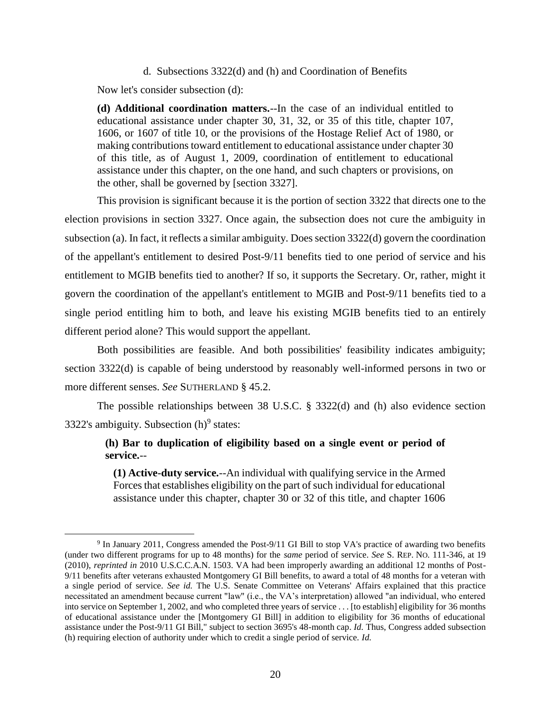#### d. Subsections 3322(d) and (h) and Coordination of Benefits

Now let's consider subsection (d):

 $\overline{a}$ 

**(d) Additional coordination matters.**--In the case of an individual entitled to educational assistance under chapter 30, 31, 32, or 35 of this title, chapter 107, 1606, or 1607 of title 10, or the provisions of the Hostage Relief Act of 1980, or making contributions toward entitlement to educational assistance under chapter 30 of this title, as of August 1, 2009, coordination of entitlement to educational assistance under this chapter, on the one hand, and such chapters or provisions, on the other, shall be governed by [section 3327].

This provision is significant because it is the portion of section 3322 that directs one to the election provisions in section 3327. Once again, the subsection does not cure the ambiguity in subsection (a). In fact, it reflects a similar ambiguity. Does section 3322(d) govern the coordination of the appellant's entitlement to desired Post-9/11 benefits tied to one period of service and his entitlement to MGIB benefits tied to another? If so, it supports the Secretary. Or, rather, might it govern the coordination of the appellant's entitlement to MGIB and Post-9/11 benefits tied to a single period entitling him to both, and leave his existing MGIB benefits tied to an entirely different period alone? This would support the appellant.

Both possibilities are feasible. And both possibilities' feasibility indicates ambiguity; section 3322(d) is capable of being understood by reasonably well-informed persons in two or more different senses. *See* SUTHERLAND § 45.2.

The possible relationships between 38 U.S.C. § 3322(d) and (h) also evidence section 3322's ambiguity. Subsection  $(h)$ <sup>9</sup> states:

## **(h) Bar to duplication of eligibility based on a single event or period of service.**--

**(1) Active-duty service.**--An individual with qualifying service in the Armed Forces that establishes eligibility on the part of such individual for educational assistance under this chapter, chapter 30 or 32 of this title, and chapter 1606

<sup>&</sup>lt;sup>9</sup> In January 2011, Congress amended the Post-9/11 GI Bill to stop VA's practice of awarding two benefits (under two different programs for up to 48 months) for the *same* period of service. *See* S. REP. NO. 111-346, at 19 (2010), *reprinted in* 2010 U.S.C.C.A.N. 1503. VA had been improperly awarding an additional 12 months of Post-9/11 benefits after veterans exhausted Montgomery GI Bill benefits, to award a total of 48 months for a veteran with a single period of service. *See id.* The U.S. Senate Committee on Veterans' Affairs explained that this practice necessitated an amendment because current "law" (i.e., the VA's interpretation) allowed "an individual, who entered into service on September 1, 2002, and who completed three years of service . . . [to establish] eligibility for 36 months of educational assistance under the [Montgomery GI Bill] in addition to eligibility for 36 months of educational assistance under the Post-9/11 GI Bill," subject to section 3695's 48-month cap. *Id.* Thus, Congress added subsection (h) requiring election of authority under which to credit a single period of service. *Id.*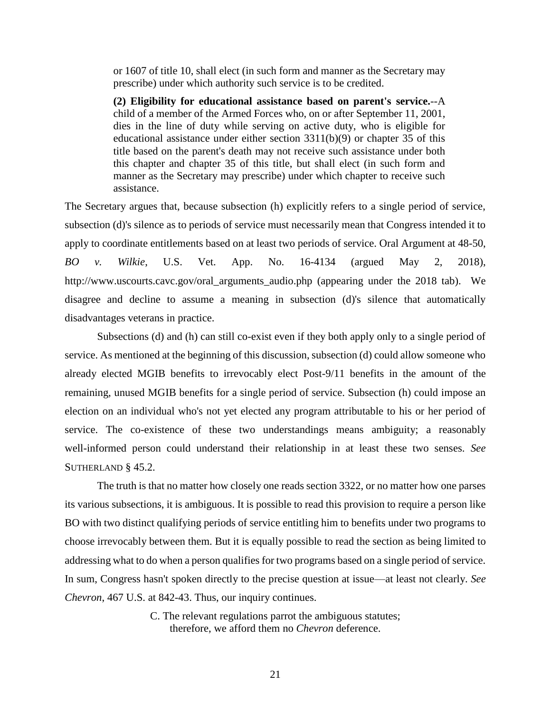or 1607 of title 10, shall elect (in such form and manner as the Secretary may prescribe) under which authority such service is to be credited.

**(2) Eligibility for educational assistance based on parent's service.**--A child of a member of the Armed Forces who, on or after September 11, 2001, dies in the line of duty while serving on active duty, who is eligible for educational assistance under either section 3311(b)(9) or chapter 35 of this title based on the parent's death may not receive such assistance under both this chapter and chapter 35 of this title, but shall elect (in such form and manner as the Secretary may prescribe) under which chapter to receive such assistance.

The Secretary argues that, because subsection (h) explicitly refers to a single period of service, subsection (d)'s silence as to periods of service must necessarily mean that Congress intended it to apply to coordinate entitlements based on at least two periods of service. Oral Argument at 48-50, *BO v. Wilkie*, U.S. Vet. App. No. 16-4134 (argued May 2, 2018), http://www.uscourts.cavc.gov/oral\_arguments\_audio.php (appearing under the 2018 tab). We disagree and decline to assume a meaning in subsection (d)'s silence that automatically disadvantages veterans in practice.

Subsections (d) and (h) can still co-exist even if they both apply only to a single period of service. As mentioned at the beginning of this discussion, subsection (d) could allow someone who already elected MGIB benefits to irrevocably elect Post-9/11 benefits in the amount of the remaining, unused MGIB benefits for a single period of service. Subsection (h) could impose an election on an individual who's not yet elected any program attributable to his or her period of service. The co-existence of these two understandings means ambiguity; a reasonably well-informed person could understand their relationship in at least these two senses. *See*  SUTHERLAND § 45.2.

The truth is that no matter how closely one reads section 3322, or no matter how one parses its various subsections, it is ambiguous. It is possible to read this provision to require a person like BO with two distinct qualifying periods of service entitling him to benefits under two programs to choose irrevocably between them. But it is equally possible to read the section as being limited to addressing what to do when a person qualifies for two programs based on a single period of service. In sum, Congress hasn't spoken directly to the precise question at issue—at least not clearly. *See Chevron*, 467 U.S. at 842-43. Thus, our inquiry continues.

> C. The relevant regulations parrot the ambiguous statutes; therefore, we afford them no *Chevron* deference.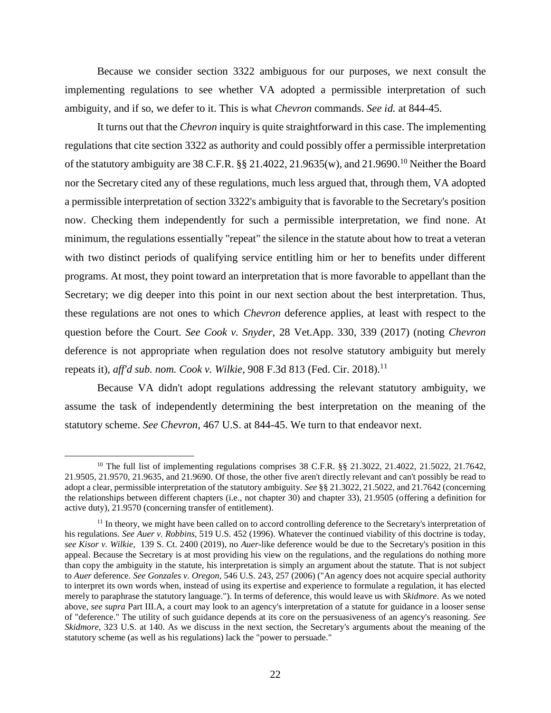Because we consider section 3322 ambiguous for our purposes, we next consult the implementing regulations to see whether VA adopted a permissible interpretation of such ambiguity, and if so, we defer to it. This is what *Chevron* commands. *See id.* at 844-45.

It turns out that the *Chevron* inquiry is quite straightforward in this case. The implementing regulations that cite section 3322 as authority and could possibly offer a permissible interpretation of the statutory ambiguity are 38 C.F.R. §§ 21.4022, 21.9635(w), and 21.9690.<sup>10</sup> Neither the Board nor the Secretary cited any of these regulations, much less argued that, through them, VA adopted a permissible interpretation of section 3322's ambiguity that is favorable to the Secretary's position now. Checking them independently for such a permissible interpretation, we find none. At minimum, the regulations essentially "repeat" the silence in the statute about how to treat a veteran with two distinct periods of qualifying service entitling him or her to benefits under different programs. At most, they point toward an interpretation that is more favorable to appellant than the Secretary; we dig deeper into this point in our next section about the best interpretation. Thus, these regulations are not ones to which *Chevron* deference applies, at least with respect to the question before the Court. *See Cook v. Snyder*, 28 Vet.App. 330, 339 (2017) (noting *Chevron* deference is not appropriate when regulation does not resolve statutory ambiguity but merely repeats it), *aff'd sub. nom. Cook v. Wilkie*, 908 F.3d 813 (Fed. Cir. 2018).<sup>11</sup>

Because VA didn't adopt regulations addressing the relevant statutory ambiguity, we assume the task of independently determining the best interpretation on the meaning of the statutory scheme. *See Chevron*, 467 U.S. at 844-45. We turn to that endeavor next.

<sup>&</sup>lt;sup>10</sup> The full list of implementing regulations comprises 38 C.F.R. §§ 21.3022, 21.4022, 21.5022, 21.7642, 21.9505, 21.9570, 21.9635, and 21.9690. Of those, the other five aren't directly relevant and can't possibly be read to adopt a clear, permissible interpretation of the statutory ambiguity. *See* §§ 21.3022, 21.5022, and 21.7642 (concerning the relationships between different chapters (i.e., not chapter 30) and chapter 33), 21.9505 (offering a definition for active duty), 21.9570 (concerning transfer of entitlement).

<sup>&</sup>lt;sup>11</sup> In theory, we might have been called on to accord controlling deference to the Secretary's interpretation of his regulations. *See Auer v. Robbins,* 519 U.S. 452 (1996). Whatever the continued viability of this doctrine is today, *see Kisor v. Wilkie*, 139 S. Ct. 2400 (2019), no *Auer*-like deference would be due to the Secretary's position in this appeal. Because the Secretary is at most providing his view on the regulations, and the regulations do nothing more than copy the ambiguity in the statute, his interpretation is simply an argument about the statute. That is not subject to *Auer* deference. *See Gonzales v. Oregon*, 546 U.S. 243, 257 (2006) ("An agency does not acquire special authority to interpret its own words when, instead of using its expertise and experience to formulate a regulation, it has elected merely to paraphrase the statutory language."). In terms of deference, this would leave us with *Skidmore*. As we noted above, *see supra* Part III.A, a court may look to an agency's interpretation of a statute for guidance in a looser sense of "deference." The utility of such guidance depends at its core on the persuasiveness of an agency's reasoning. *See Skidmore*, 323 U.S. at 140. As we discuss in the next section, the Secretary's arguments about the meaning of the statutory scheme (as well as his regulations) lack the "power to persuade."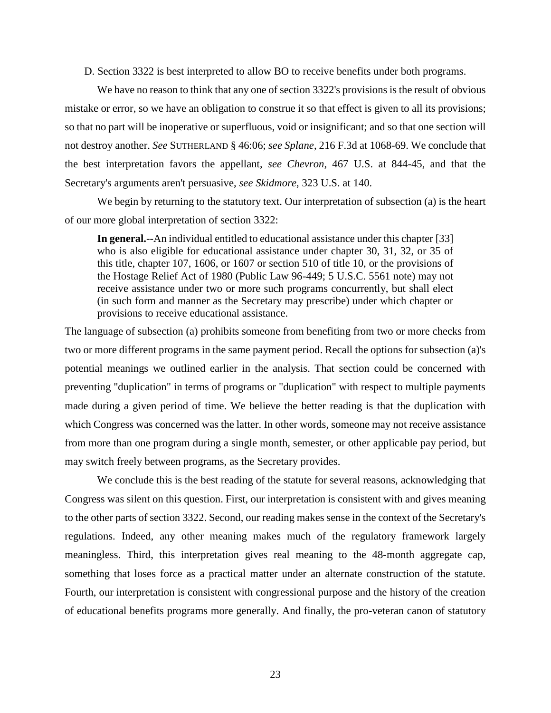D. Section 3322 is best interpreted to allow BO to receive benefits under both programs.

We have no reason to think that any one of section 3322's provisions is the result of obvious mistake or error, so we have an obligation to construe it so that effect is given to all its provisions; so that no part will be inoperative or superfluous, void or insignificant; and so that one section will not destroy another. *See* SUTHERLAND § 46:06; *see Splane*, 216 F.3d at 1068-69. We conclude that the best interpretation favors the appellant, *see Chevron*, 467 U.S. at 844-45, and that the Secretary's arguments aren't persuasive, *see Skidmore*, 323 U.S. at 140.

We begin by returning to the statutory text. Our interpretation of subsection (a) is the heart of our more global interpretation of section 3322:

**In general.**--An individual entitled to educational assistance under this chapter [33] who is also eligible for educational assistance under chapter 30, 31, 32, or 35 of this title, chapter 107, 1606, or 1607 or section 510 of title 10, or the provisions of the Hostage Relief Act of 1980 (Public Law 96-449; 5 U.S.C. 5561 note) may not receive assistance under two or more such programs concurrently, but shall elect (in such form and manner as the Secretary may prescribe) under which chapter or provisions to receive educational assistance.

The language of subsection (a) prohibits someone from benefiting from two or more checks from two or more different programs in the same payment period. Recall the options for subsection (a)'s potential meanings we outlined earlier in the analysis. That section could be concerned with preventing "duplication" in terms of programs or "duplication" with respect to multiple payments made during a given period of time. We believe the better reading is that the duplication with which Congress was concerned was the latter. In other words, someone may not receive assistance from more than one program during a single month, semester, or other applicable pay period, but may switch freely between programs, as the Secretary provides.

We conclude this is the best reading of the statute for several reasons, acknowledging that Congress was silent on this question. First, our interpretation is consistent with and gives meaning to the other parts of section 3322. Second, our reading makes sense in the context of the Secretary's regulations. Indeed, any other meaning makes much of the regulatory framework largely meaningless. Third, this interpretation gives real meaning to the 48-month aggregate cap, something that loses force as a practical matter under an alternate construction of the statute. Fourth, our interpretation is consistent with congressional purpose and the history of the creation of educational benefits programs more generally. And finally, the pro-veteran canon of statutory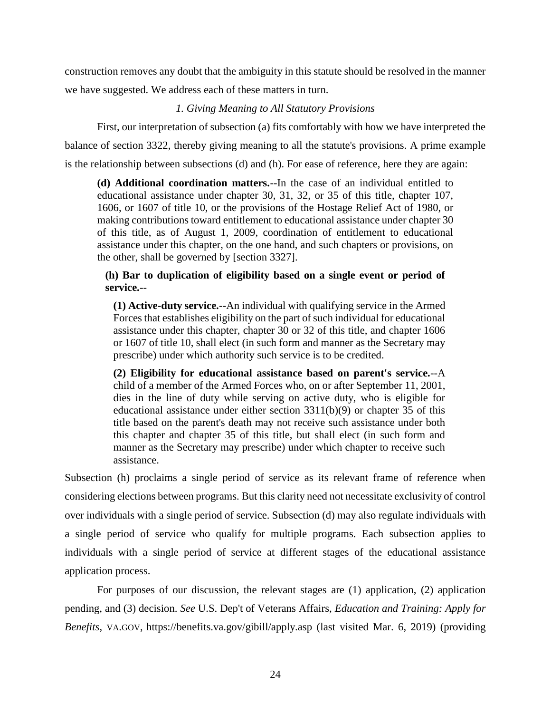construction removes any doubt that the ambiguity in this statute should be resolved in the manner we have suggested. We address each of these matters in turn.

## *1. Giving Meaning to All Statutory Provisions*

First, our interpretation of subsection (a) fits comfortably with how we have interpreted the balance of section 3322, thereby giving meaning to all the statute's provisions. A prime example is the relationship between subsections (d) and (h). For ease of reference, here they are again:

**(d) Additional coordination matters.**--In the case of an individual entitled to educational assistance under chapter 30, 31, 32, or 35 of this title, chapter 107, 1606, or 1607 of title 10, or the provisions of the Hostage Relief Act of 1980, or making contributions toward entitlement to educational assistance under chapter 30 of this title, as of August 1, 2009, coordination of entitlement to educational assistance under this chapter, on the one hand, and such chapters or provisions, on the other, shall be governed by [section 3327].

## **(h) Bar to duplication of eligibility based on a single event or period of service.**--

**(1) Active-duty service.**--An individual with qualifying service in the Armed Forces that establishes eligibility on the part of such individual for educational assistance under this chapter, chapter 30 or 32 of this title, and chapter 1606 or 1607 of title 10, shall elect (in such form and manner as the Secretary may prescribe) under which authority such service is to be credited.

**(2) Eligibility for educational assistance based on parent's service.**--A child of a member of the Armed Forces who, on or after September 11, 2001, dies in the line of duty while serving on active duty, who is eligible for educational assistance under either section 3311(b)(9) or chapter 35 of this title based on the parent's death may not receive such assistance under both this chapter and chapter 35 of this title, but shall elect (in such form and manner as the Secretary may prescribe) under which chapter to receive such assistance.

Subsection (h) proclaims a single period of service as its relevant frame of reference when considering elections between programs. But this clarity need not necessitate exclusivity of control over individuals with a single period of service. Subsection (d) may also regulate individuals with a single period of service who qualify for multiple programs. Each subsection applies to individuals with a single period of service at different stages of the educational assistance application process.

For purposes of our discussion, the relevant stages are (1) application, (2) application pending, and (3) decision. *See* U.S. Dep't of Veterans Affairs, *Education and Training: Apply for Benefits*, VA.GOV, https://benefits.va.gov/gibill/apply.asp (last visited Mar. 6, 2019) (providing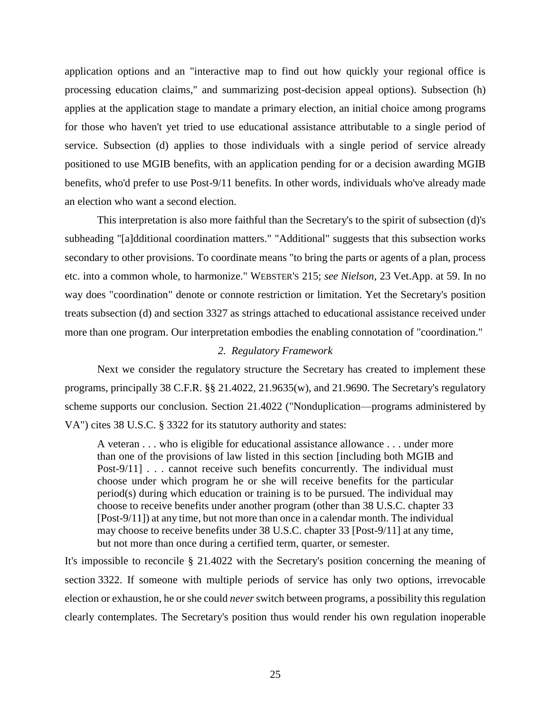application options and an "interactive map to find out how quickly your regional office is processing education claims," and summarizing post-decision appeal options). Subsection (h) applies at the application stage to mandate a primary election, an initial choice among programs for those who haven't yet tried to use educational assistance attributable to a single period of service. Subsection (d) applies to those individuals with a single period of service already positioned to use MGIB benefits, with an application pending for or a decision awarding MGIB benefits, who'd prefer to use Post-9/11 benefits. In other words, individuals who've already made an election who want a second election.

This interpretation is also more faithful than the Secretary's to the spirit of subsection (d)'s subheading "[a]dditional coordination matters." "Additional" suggests that this subsection works secondary to other provisions. To coordinate means "to bring the parts or agents of a plan, process etc. into a common whole, to harmonize." WEBSTER'S 215; *see Nielson*, 23 Vet.App. at 59. In no way does "coordination" denote or connote restriction or limitation. Yet the Secretary's position treats subsection (d) and section 3327 as strings attached to educational assistance received under more than one program. Our interpretation embodies the enabling connotation of "coordination."

#### *2. Regulatory Framework*

Next we consider the regulatory structure the Secretary has created to implement these programs, principally 38 C.F.R. §§ 21.4022, 21.9635(w), and 21.9690. The Secretary's regulatory scheme supports our conclusion. Section 21.4022 ("Nonduplication—programs administered by VA") cites 38 U.S.C. § 3322 for its statutory authority and states:

A veteran . . . who is eligible for educational assistance allowance . . . under more than one of the provisions of law listed in this section [including both MGIB and Post-9/11] . . . cannot receive such benefits concurrently. The individual must choose under which program he or she will receive benefits for the particular period(s) during which education or training is to be pursued. The individual may choose to receive benefits under another program (other than 38 U.S.C. chapter 33 [Post-9/11]) at any time, but not more than once in a calendar month. The individual may choose to receive benefits under 38 U.S.C. chapter 33 [Post-9/11] at any time, but not more than once during a certified term, quarter, or semester.

It's impossible to reconcile § 21.4022 with the Secretary's position concerning the meaning of section 3322. If someone with multiple periods of service has only two options, irrevocable election or exhaustion, he or she could *never* switch between programs, a possibility this regulation clearly contemplates. The Secretary's position thus would render his own regulation inoperable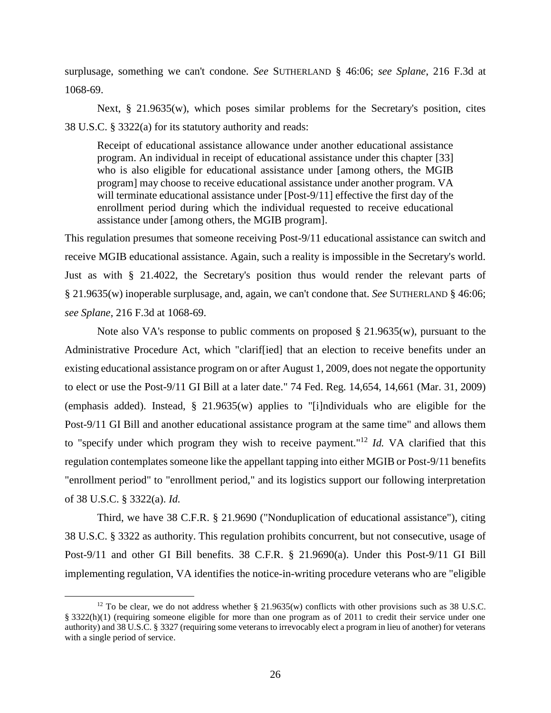surplusage, something we can't condone. *See* SUTHERLAND § 46:06; *see Splane*, 216 F.3d at 1068-69.

Next, § 21.9635(w), which poses similar problems for the Secretary's position, cites 38 U.S.C. § 3322(a) for its statutory authority and reads:

Receipt of educational assistance allowance under another educational assistance program. An individual in receipt of educational assistance under this chapter [33] who is also eligible for educational assistance under [among others, the MGIB program] may choose to receive educational assistance under another program. VA will terminate educational assistance under [Post-9/11] effective the first day of the enrollment period during which the individual requested to receive educational assistance under [among others, the MGIB program].

This regulation presumes that someone receiving Post-9/11 educational assistance can switch and receive MGIB educational assistance. Again, such a reality is impossible in the Secretary's world. Just as with § 21.4022, the Secretary's position thus would render the relevant parts of § 21.9635(w) inoperable surplusage, and, again, we can't condone that. *See* SUTHERLAND § 46:06; *see Splane*, 216 F.3d at 1068-69.

Note also VA's response to public comments on proposed  $\S$  21.9635(w), pursuant to the Administrative Procedure Act, which "clarif[ied] that an election to receive benefits under an existing educational assistance program on or after August 1, 2009, does not negate the opportunity to elect or use the Post-9/11 GI Bill at a later date." 74 Fed. Reg. 14,654, 14,661 (Mar. 31, 2009) (emphasis added). Instead, § 21.9635(w) applies to "[i]ndividuals who are eligible for the Post-9/11 GI Bill and another educational assistance program at the same time" and allows them to "specify under which program they wish to receive payment."<sup>12</sup> *Id.* VA clarified that this regulation contemplates someone like the appellant tapping into either MGIB or Post-9/11 benefits "enrollment period" to "enrollment period," and its logistics support our following interpretation of 38 U.S.C. § 3322(a). *Id.*

Third, we have 38 C.F.R. § 21.9690 ("Nonduplication of educational assistance"), citing 38 U.S.C. § 3322 as authority. This regulation prohibits concurrent, but not consecutive, usage of Post-9/11 and other GI Bill benefits. 38 C.F.R. § 21.9690(a). Under this Post-9/11 GI Bill implementing regulation, VA identifies the notice-in-writing procedure veterans who are "eligible

<sup>&</sup>lt;sup>12</sup> To be clear, we do not address whether  $\S 21.9635(w)$  conflicts with other provisions such as 38 U.S.C. § 3322(h)(1) (requiring someone eligible for more than one program as of 2011 to credit their service under one authority) and 38 U.S.C. § 3327 (requiring some veterans to irrevocably elect a program in lieu of another) for veterans with a single period of service.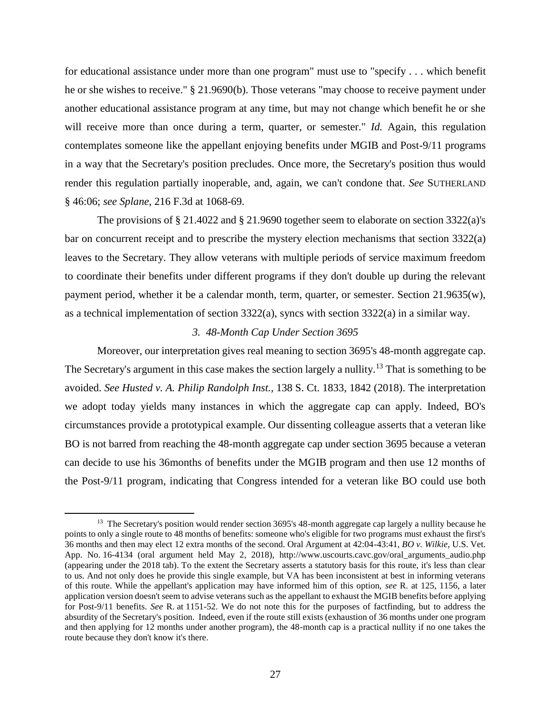for educational assistance under more than one program" must use to "specify . . . which benefit he or she wishes to receive." § 21.9690(b). Those veterans "may choose to receive payment under another educational assistance program at any time, but may not change which benefit he or she will receive more than once during a term, quarter, or semester." *Id.* Again, this regulation contemplates someone like the appellant enjoying benefits under MGIB and Post-9/11 programs in a way that the Secretary's position precludes. Once more, the Secretary's position thus would render this regulation partially inoperable, and, again, we can't condone that. *See* SUTHERLAND § 46:06; *see Splane*, 216 F.3d at 1068-69.

The provisions of § 21.4022 and § 21.9690 together seem to elaborate on section 3322(a)'s bar on concurrent receipt and to prescribe the mystery election mechanisms that section 3322(a) leaves to the Secretary. They allow veterans with multiple periods of service maximum freedom to coordinate their benefits under different programs if they don't double up during the relevant payment period, whether it be a calendar month, term, quarter, or semester. Section 21.9635(w), as a technical implementation of section 3322(a), syncs with section 3322(a) in a similar way.

#### *3. 48-Month Cap Under Section 3695*

Moreover, our interpretation gives real meaning to section 3695's 48-month aggregate cap. The Secretary's argument in this case makes the section largely a nullity.<sup>13</sup> That is something to be avoided. *See Husted v. A. Philip Randolph Inst.,* 138 S. Ct. 1833, 1842 (2018). The interpretation we adopt today yields many instances in which the aggregate cap can apply. Indeed, BO's circumstances provide a prototypical example. Our dissenting colleague asserts that a veteran like BO is not barred from reaching the 48-month aggregate cap under section 3695 because a veteran can decide to use his 36months of benefits under the MGIB program and then use 12 months of the Post-9/11 program, indicating that Congress intended for a veteran like BO could use both

<sup>&</sup>lt;sup>13</sup> The Secretary's position would render section 3695's 48-month aggregate cap largely a nullity because he points to only a single route to 48 months of benefits: someone who's eligible for two programs must exhaust the first's 36 months and then may elect 12 extra months of the second. Oral Argument at 42:04-43:41, *BO v. Wilkie*, U.S. Vet. App. No. 16-4134 (oral argument held May 2, 2018), http://www.uscourts.cavc.gov/oral\_arguments\_audio.php (appearing under the 2018 tab). To the extent the Secretary asserts a statutory basis for this route, it's less than clear to us. And not only does he provide this single example, but VA has been inconsistent at best in informing veterans of this route. While the appellant's application may have informed him of this option, *see* R. at 125, 1156, a later application version doesn't seem to advise veterans such as the appellant to exhaust the MGIB benefits before applying for Post-9/11 benefits. *See* R. at 1151-52. We do not note this for the purposes of factfinding, but to address the absurdity of the Secretary's position. Indeed, even if the route still exists (exhaustion of 36 months under one program and then applying for 12 months under another program), the 48-month cap is a practical nullity if no one takes the route because they don't know it's there.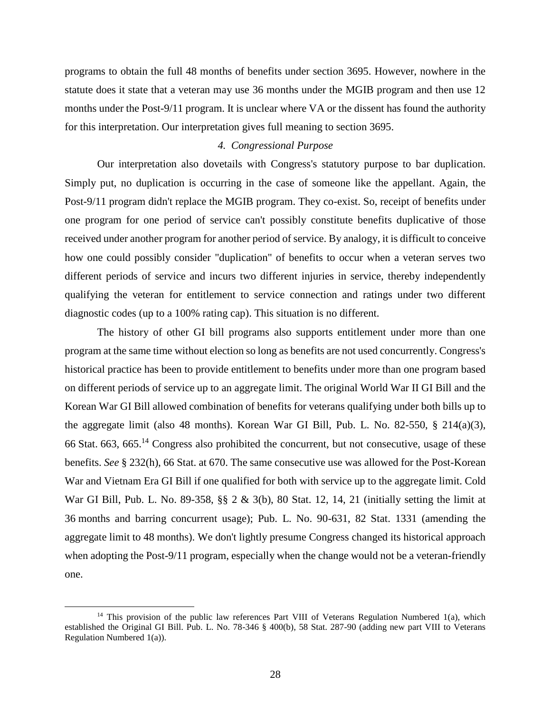programs to obtain the full 48 months of benefits under section 3695. However, nowhere in the statute does it state that a veteran may use 36 months under the MGIB program and then use 12 months under the Post-9/11 program. It is unclear where VA or the dissent has found the authority for this interpretation. Our interpretation gives full meaning to section 3695.

#### *4. Congressional Purpose*

Our interpretation also dovetails with Congress's statutory purpose to bar duplication. Simply put, no duplication is occurring in the case of someone like the appellant. Again, the Post-9/11 program didn't replace the MGIB program. They co-exist. So, receipt of benefits under one program for one period of service can't possibly constitute benefits duplicative of those received under another program for another period of service. By analogy, it is difficult to conceive how one could possibly consider "duplication" of benefits to occur when a veteran serves two different periods of service and incurs two different injuries in service, thereby independently qualifying the veteran for entitlement to service connection and ratings under two different diagnostic codes (up to a 100% rating cap). This situation is no different.

The history of other GI bill programs also supports entitlement under more than one program at the same time without election so long as benefits are not used concurrently. Congress's historical practice has been to provide entitlement to benefits under more than one program based on different periods of service up to an aggregate limit. The original World War II GI Bill and the Korean War GI Bill allowed combination of benefits for veterans qualifying under both bills up to the aggregate limit (also 48 months). Korean War GI Bill, Pub. L. No. 82-550, § 214(a)(3), 66 Stat. 663, 665.<sup>14</sup> Congress also prohibited the concurrent, but not consecutive, usage of these benefits. *See* § 232(h), 66 Stat. at 670. The same consecutive use was allowed for the Post-Korean War and Vietnam Era GI Bill if one qualified for both with service up to the aggregate limit. Cold War GI Bill, Pub. L. No. 89-358, §§ 2 & 3(b), 80 Stat. 12, 14, 21 (initially setting the limit at 36 months and barring concurrent usage); Pub. L. No. 90-631, 82 Stat. 1331 (amending the aggregate limit to 48 months). We don't lightly presume Congress changed its historical approach when adopting the Post-9/11 program, especially when the change would not be a veteran-friendly one.

 $14$  This provision of the public law references Part VIII of Veterans Regulation Numbered 1(a), which established the Original GI Bill. Pub. L. No. 78-346 § 400(b), 58 Stat. 287-90 (adding new part VIII to Veterans Regulation Numbered 1(a)).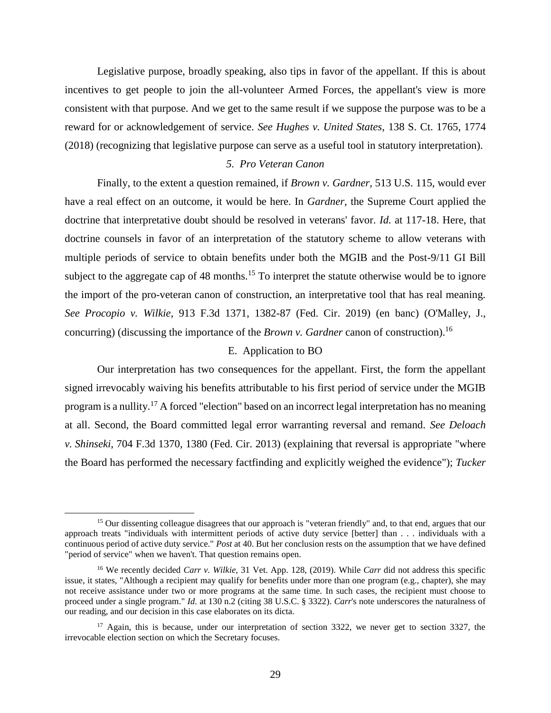Legislative purpose, broadly speaking, also tips in favor of the appellant. If this is about incentives to get people to join the all-volunteer Armed Forces, the appellant's view is more consistent with that purpose. And we get to the same result if we suppose the purpose was to be a reward for or acknowledgement of service. *See Hughes v. United States*, 138 S. Ct. 1765, 1774 (2018) (recognizing that legislative purpose can serve as a useful tool in statutory interpretation).

## *5. Pro Veteran Canon*

Finally, to the extent a question remained, if *Brown v. Gardner*, 513 U.S. 115, would ever have a real effect on an outcome, it would be here. In *Gardner*, the Supreme Court applied the doctrine that interpretative doubt should be resolved in veterans' favor. *Id.* at 117-18. Here, that doctrine counsels in favor of an interpretation of the statutory scheme to allow veterans with multiple periods of service to obtain benefits under both the MGIB and the Post-9/11 GI Bill subject to the aggregate cap of 48 months.<sup>15</sup> To interpret the statute otherwise would be to ignore the import of the pro-veteran canon of construction, an interpretative tool that has real meaning. *See Procopio v. Wilkie,* 913 F.3d 1371, 1382-87 (Fed. Cir. 2019) (en banc) (O'Malley, J., concurring) (discussing the importance of the *Brown v. Gardner* canon of construction).<sup>16</sup>

#### E. Application to BO

Our interpretation has two consequences for the appellant. First, the form the appellant signed irrevocably waiving his benefits attributable to his first period of service under the MGIB program is a nullity.<sup>17</sup> A forced "election" based on an incorrect legal interpretation has no meaning at all. Second, the Board committed legal error warranting reversal and remand. *See Deloach v. Shinseki*, 704 F.3d 1370, 1380 (Fed. Cir. 2013) (explaining that reversal is appropriate "where the Board has performed the necessary factfinding and explicitly weighed the evidence"); *Tucker* 

<sup>&</sup>lt;sup>15</sup> Our dissenting colleague disagrees that our approach is "veteran friendly" and, to that end, argues that our approach treats "individuals with intermittent periods of active duty service [better] than . . . individuals with a continuous period of active duty service." *Post* at 40. But her conclusion rests on the assumption that we have defined "period of service" when we haven't. That question remains open.

<sup>16</sup> We recently decided *Carr v. Wilkie*, 31 Vet. App. 128, (2019). While *Carr* did not address this specific issue, it states, "Although a recipient may qualify for benefits under more than one program (e.g., chapter), she may not receive assistance under two or more programs at the same time. In such cases, the recipient must choose to proceed under a single program." *Id.* at 130 n.2 (citing 38 U.S.C. § 3322). *Carr*'s note underscores the naturalness of our reading, and our decision in this case elaborates on its dicta.

<sup>&</sup>lt;sup>17</sup> Again, this is because, under our interpretation of section 3322, we never get to section 3327, the irrevocable election section on which the Secretary focuses.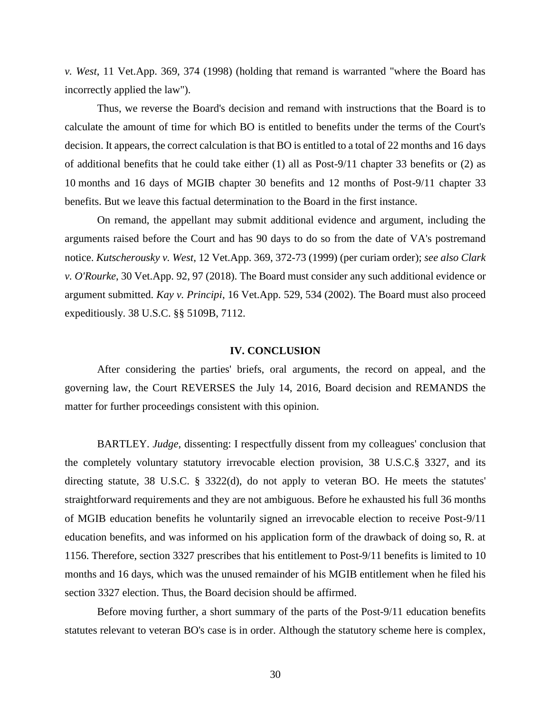*v. West*, 11 Vet.App. 369, 374 (1998) (holding that remand is warranted "where the Board has incorrectly applied the law").

Thus, we reverse the Board's decision and remand with instructions that the Board is to calculate the amount of time for which BO is entitled to benefits under the terms of the Court's decision. It appears, the correct calculation is that BO is entitled to a total of 22 months and 16 days of additional benefits that he could take either  $(1)$  all as Post-9/11 chapter 33 benefits or  $(2)$  as 10 months and 16 days of MGIB chapter 30 benefits and 12 months of Post-9/11 chapter 33 benefits. But we leave this factual determination to the Board in the first instance.

On remand, the appellant may submit additional evidence and argument, including the arguments raised before the Court and has 90 days to do so from the date of VA's postremand notice. *Kutscherousky v. West*, 12 Vet.App. 369, 372-73 (1999) (per curiam order); *see also Clark v. O'Rourke*, 30 Vet.App. 92, 97 (2018). The Board must consider any such additional evidence or argument submitted. *Kay v. Principi*, 16 Vet.App. 529, 534 (2002). The Board must also proceed expeditiously. 38 U.S.C. §§ 5109B, 7112.

#### **IV. CONCLUSION**

After considering the parties' briefs, oral arguments, the record on appeal, and the governing law, the Court REVERSES the July 14, 2016, Board decision and REMANDS the matter for further proceedings consistent with this opinion.

BARTLEY. *Judge,* dissenting: I respectfully dissent from my colleagues' conclusion that the completely voluntary statutory irrevocable election provision, 38 U.S.C.§ 3327, and its directing statute, 38 U.S.C. § 3322(d), do not apply to veteran BO. He meets the statutes' straightforward requirements and they are not ambiguous. Before he exhausted his full 36 months of MGIB education benefits he voluntarily signed an irrevocable election to receive Post-9/11 education benefits, and was informed on his application form of the drawback of doing so, R. at 1156. Therefore, section 3327 prescribes that his entitlement to Post-9/11 benefits is limited to 10 months and 16 days, which was the unused remainder of his MGIB entitlement when he filed his section 3327 election. Thus, the Board decision should be affirmed.

Before moving further, a short summary of the parts of the Post-9/11 education benefits statutes relevant to veteran BO's case is in order. Although the statutory scheme here is complex,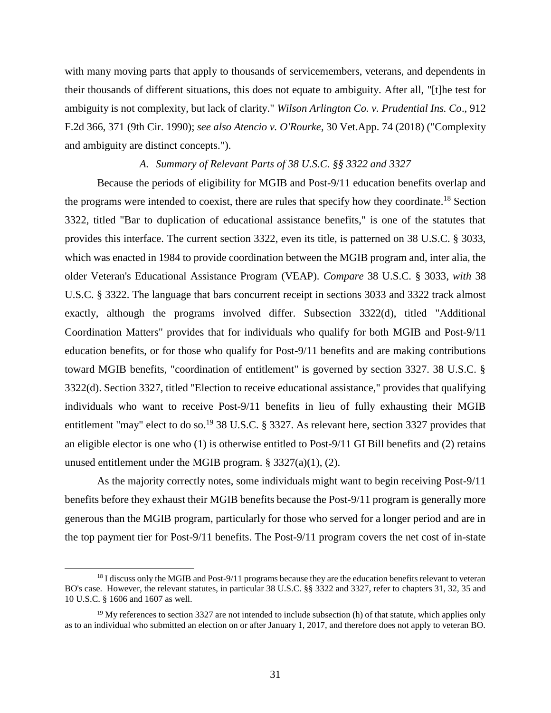with many moving parts that apply to thousands of servicemembers, veterans, and dependents in their thousands of different situations, this does not equate to ambiguity. After all, "[t]he test for ambiguity is not complexity, but lack of clarity." *Wilson Arlington Co. v. Prudential Ins. Co*., 912 F.2d 366, 371 (9th Cir. 1990); *see also Atencio v. O'Rourke,* 30 Vet.App. 74 (2018) ("Complexity and ambiguity are distinct concepts.").

#### *A. Summary of Relevant Parts of 38 U.S.C. §§ 3322 and 3327*

Because the periods of eligibility for MGIB and Post-9/11 education benefits overlap and the programs were intended to coexist, there are rules that specify how they coordinate.<sup>18</sup> Section 3322, titled "Bar to duplication of educational assistance benefits," is one of the statutes that provides this interface. The current section 3322, even its title, is patterned on 38 U.S.C. § 3033, which was enacted in 1984 to provide coordination between the MGIB program and, inter alia, the older Veteran's Educational Assistance Program (VEAP). *Compare* 38 U.S.C. § 3033, *with* 38 U.S.C. § 3322. The language that bars concurrent receipt in sections 3033 and 3322 track almost exactly, although the programs involved differ. Subsection 3322(d), titled "Additional Coordination Matters" provides that for individuals who qualify for both MGIB and Post-9/11 education benefits, or for those who qualify for Post-9/11 benefits and are making contributions toward MGIB benefits, "coordination of entitlement" is governed by section 3327. 38 U.S.C. § 3322(d). Section 3327, titled "Election to receive educational assistance," provides that qualifying individuals who want to receive Post-9/11 benefits in lieu of fully exhausting their MGIB entitlement "may" elect to do so.<sup>19</sup> 38 U.S.C. § 3327. As relevant here, section 3327 provides that an eligible elector is one who (1) is otherwise entitled to Post-9/11 GI Bill benefits and (2) retains unused entitlement under the MGIB program.  $\S$  3327(a)(1), (2).

As the majority correctly notes, some individuals might want to begin receiving Post-9/11 benefits before they exhaust their MGIB benefits because the Post-9/11 program is generally more generous than the MGIB program, particularly for those who served for a longer period and are in the top payment tier for Post-9/11 benefits. The Post-9/11 program covers the net cost of in-state

<sup>&</sup>lt;sup>18</sup> I discuss only the MGIB and Post-9/11 programs because they are the education benefits relevant to veteran BO's case. However, the relevant statutes, in particular 38 U.S.C. §§ 3322 and 3327, refer to chapters 31, 32, 35 and 10 U.S.C. § 1606 and 1607 as well.

 $19$  My references to section 3327 are not intended to include subsection (h) of that statute, which applies only as to an individual who submitted an election on or after January 1, 2017, and therefore does not apply to veteran BO.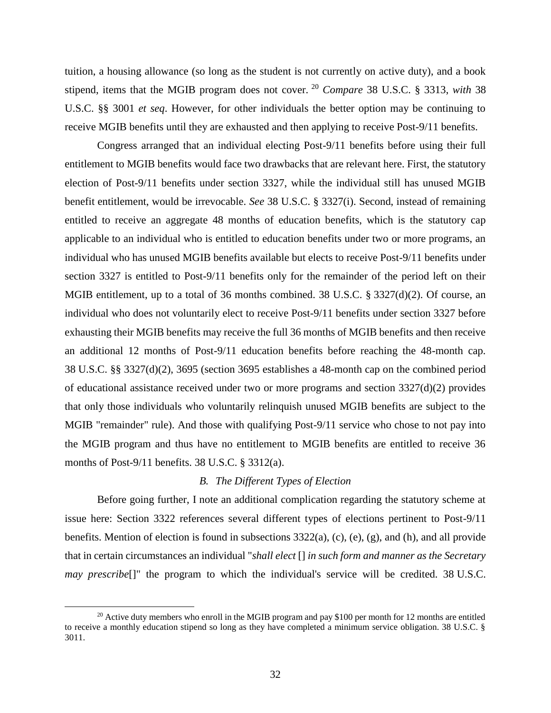tuition, a housing allowance (so long as the student is not currently on active duty), and a book stipend, items that the MGIB program does not cover. <sup>20</sup> *Compare* 38 U.S.C. § 3313, *with* 38 U.S.C. §§ 3001 *et seq*. However, for other individuals the better option may be continuing to receive MGIB benefits until they are exhausted and then applying to receive Post-9/11 benefits.

Congress arranged that an individual electing Post-9/11 benefits before using their full entitlement to MGIB benefits would face two drawbacks that are relevant here. First, the statutory election of Post-9/11 benefits under section 3327, while the individual still has unused MGIB benefit entitlement, would be irrevocable. *See* 38 U.S.C. § 3327(i). Second, instead of remaining entitled to receive an aggregate 48 months of education benefits, which is the statutory cap applicable to an individual who is entitled to education benefits under two or more programs, an individual who has unused MGIB benefits available but elects to receive Post-9/11 benefits under section 3327 is entitled to Post-9/11 benefits only for the remainder of the period left on their MGIB entitlement, up to a total of 36 months combined. 38 U.S.C. § 3327(d)(2). Of course, an individual who does not voluntarily elect to receive Post-9/11 benefits under section 3327 before exhausting their MGIB benefits may receive the full 36 months of MGIB benefits and then receive an additional 12 months of Post-9/11 education benefits before reaching the 48-month cap. 38 U.S.C. §§ 3327(d)(2), 3695 (section 3695 establishes a 48-month cap on the combined period of educational assistance received under two or more programs and section 3327(d)(2) provides that only those individuals who voluntarily relinquish unused MGIB benefits are subject to the MGIB "remainder" rule). And those with qualifying Post-9/11 service who chose to not pay into the MGIB program and thus have no entitlement to MGIB benefits are entitled to receive 36 months of Post-9/11 benefits. 38 U.S.C. § 3312(a).

## *B. The Different Types of Election*

Before going further, I note an additional complication regarding the statutory scheme at issue here: Section 3322 references several different types of elections pertinent to Post-9/11 benefits. Mention of election is found in subsections  $3322(a)$ , (c), (e), (g), and (h), and all provide that in certain circumstances an individual "*shall elect* [] *in such form and manner as the Secretary may prescribe*[]" the program to which the individual's service will be credited. 38 U.S.C.

<sup>&</sup>lt;sup>20</sup> Active duty members who enroll in the MGIB program and pay \$100 per month for 12 months are entitled to receive a monthly education stipend so long as they have completed a minimum service obligation. 38 U.S.C. § 3011.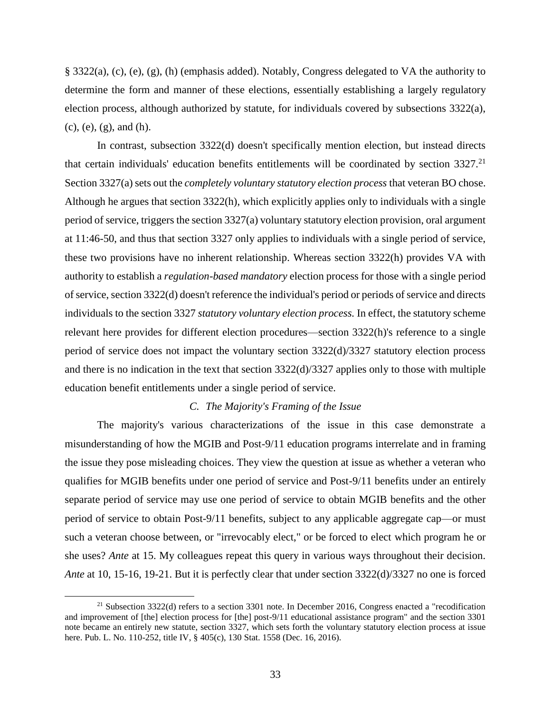§ 3322(a), (c), (e), (g), (h) (emphasis added). Notably, Congress delegated to VA the authority to determine the form and manner of these elections, essentially establishing a largely regulatory election process, although authorized by statute, for individuals covered by subsections 3322(a), (c), (e), (g), and (h).

In contrast, subsection 3322(d) doesn't specifically mention election, but instead directs that certain individuals' education benefits entitlements will be coordinated by section 3327.<sup>21</sup> Section 3327(a) sets out the *completely voluntary statutory election process* that veteran BO chose. Although he argues that section 3322(h), which explicitly applies only to individuals with a single period of service, triggers the section 3327(a) voluntary statutory election provision, oral argument at 11:46-50, and thus that section 3327 only applies to individuals with a single period of service, these two provisions have no inherent relationship. Whereas section 3322(h) provides VA with authority to establish a *regulation-based mandatory* election process for those with a single period of service, section 3322(d) doesn't reference the individual's period or periods of service and directs individuals to the section 3327 *statutory voluntary election process.* In effect, the statutory scheme relevant here provides for different election procedures—section 3322(h)'s reference to a single period of service does not impact the voluntary section 3322(d)/3327 statutory election process and there is no indication in the text that section 3322(d)/3327 applies only to those with multiple education benefit entitlements under a single period of service.

#### *C. The Majority's Framing of the Issue*

The majority's various characterizations of the issue in this case demonstrate a misunderstanding of how the MGIB and Post-9/11 education programs interrelate and in framing the issue they pose misleading choices. They view the question at issue as whether a veteran who qualifies for MGIB benefits under one period of service and Post-9/11 benefits under an entirely separate period of service may use one period of service to obtain MGIB benefits and the other period of service to obtain Post-9/11 benefits, subject to any applicable aggregate cap—or must such a veteran choose between, or "irrevocably elect," or be forced to elect which program he or she uses? *Ante* at 15. My colleagues repeat this query in various ways throughout their decision. *Ante* at 10, 15-16, 19-21. But it is perfectly clear that under section 3322(d)/3327 no one is forced

<sup>&</sup>lt;sup>21</sup> Subsection 3322(d) refers to a section 3301 note. In December 2016, Congress enacted a "recodification" and improvement of [the] election process for [the] post-9/11 educational assistance program" and the section 3301 note became an entirely new statute, section 3327, which sets forth the voluntary statutory election process at issue here. Pub. L. No. 110-252, title IV, § 405(c), 130 Stat. 1558 (Dec. 16, 2016).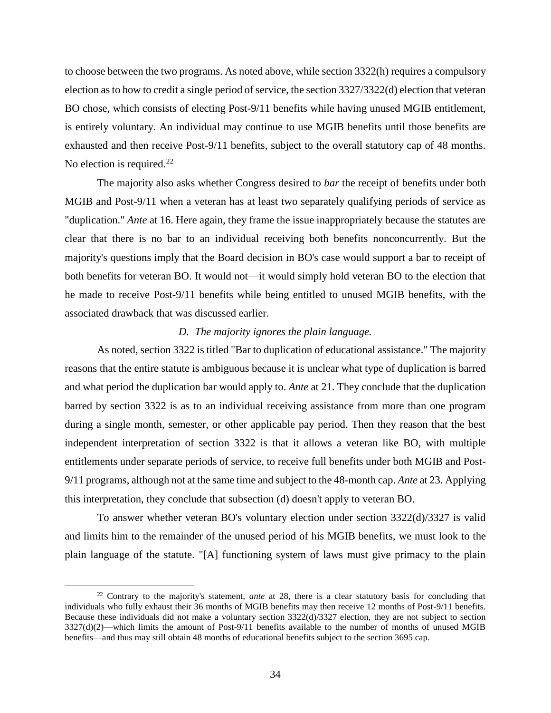to choose between the two programs. As noted above, while section 3322(h) requires a compulsory election as to how to credit a single period of service, the section 3327/3322(d) election that veteran BO chose, which consists of electing Post-9/11 benefits while having unused MGIB entitlement, is entirely voluntary. An individual may continue to use MGIB benefits until those benefits are exhausted and then receive Post-9/11 benefits, subject to the overall statutory cap of 48 months. No election is required.<sup>22</sup>

The majority also asks whether Congress desired to *bar* the receipt of benefits under both MGIB and Post-9/11 when a veteran has at least two separately qualifying periods of service as "duplication." *Ante* at 16. Here again, they frame the issue inappropriately because the statutes are clear that there is no bar to an individual receiving both benefits nonconcurrently. But the majority's questions imply that the Board decision in BO's case would support a bar to receipt of both benefits for veteran BO. It would not—it would simply hold veteran BO to the election that he made to receive Post-9/11 benefits while being entitled to unused MGIB benefits, with the associated drawback that was discussed earlier.

#### *D. The majority ignores the plain language.*

As noted, section 3322 is titled "Bar to duplication of educational assistance." The majority reasons that the entire statute is ambiguous because it is unclear what type of duplication is barred and what period the duplication bar would apply to. *Ante* at 21. They conclude that the duplication barred by section 3322 is as to an individual receiving assistance from more than one program during a single month, semester, or other applicable pay period. Then they reason that the best independent interpretation of section 3322 is that it allows a veteran like BO, with multiple entitlements under separate periods of service, to receive full benefits under both MGIB and Post-9/11 programs, although not at the same time and subject to the 48-month cap. *Ante* at 23. Applying this interpretation, they conclude that subsection (d) doesn't apply to veteran BO.

To answer whether veteran BO's voluntary election under section 3322(d)/3327 is valid and limits him to the remainder of the unused period of his MGIB benefits, we must look to the plain language of the statute. "[A] functioning system of laws must give primacy to the plain

<sup>&</sup>lt;sup>22</sup> Contrary to the majority's statement, *ante* at 28, there is a clear statutory basis for concluding that individuals who fully exhaust their 36 months of MGIB benefits may then receive 12 months of Post-9/11 benefits. Because these individuals did not make a voluntary section 3322(d)/3327 election, they are not subject to section  $3327(d)(2)$ —which limits the amount of Post-9/11 benefits available to the number of months of unused MGIB benefits—and thus may still obtain 48 months of educational benefits subject to the section 3695 cap.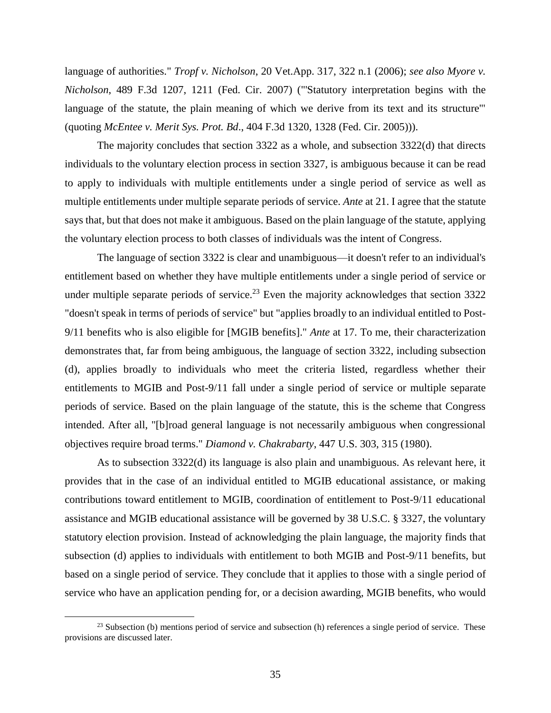language of authorities." *Tropf v. Nicholson*, 20 Vet.App. 317, 322 n.1 (2006); *see also Myore v. Nicholson*, 489 F.3d 1207, 1211 (Fed. Cir. 2007) ("'Statutory interpretation begins with the language of the statute, the plain meaning of which we derive from its text and its structure'" (quoting *McEntee v. Merit Sys. Prot. Bd*., 404 F.3d 1320, 1328 (Fed. Cir. 2005))).

The majority concludes that section 3322 as a whole, and subsection 3322(d) that directs individuals to the voluntary election process in section 3327, is ambiguous because it can be read to apply to individuals with multiple entitlements under a single period of service as well as multiple entitlements under multiple separate periods of service. *Ante* at 21. I agree that the statute says that, but that does not make it ambiguous. Based on the plain language of the statute, applying the voluntary election process to both classes of individuals was the intent of Congress.

The language of section 3322 is clear and unambiguous—it doesn't refer to an individual's entitlement based on whether they have multiple entitlements under a single period of service or under multiple separate periods of service.<sup>23</sup> Even the majority acknowledges that section  $3322$ "doesn't speak in terms of periods of service" but "applies broadly to an individual entitled to Post-9/11 benefits who is also eligible for [MGIB benefits]." *Ante* at 17. To me, their characterization demonstrates that, far from being ambiguous, the language of section 3322, including subsection (d), applies broadly to individuals who meet the criteria listed, regardless whether their entitlements to MGIB and Post-9/11 fall under a single period of service or multiple separate periods of service. Based on the plain language of the statute, this is the scheme that Congress intended. After all, "[b]road general language is not necessarily ambiguous when congressional objectives require broad terms." *Diamond v. Chakrabarty*, 447 U.S. 303, 315 (1980).

As to subsection 3322(d) its language is also plain and unambiguous. As relevant here, it provides that in the case of an individual entitled to MGIB educational assistance, or making contributions toward entitlement to MGIB, coordination of entitlement to Post-9/11 educational assistance and MGIB educational assistance will be governed by 38 U.S.C. § 3327, the voluntary statutory election provision. Instead of acknowledging the plain language, the majority finds that subsection (d) applies to individuals with entitlement to both MGIB and Post-9/11 benefits, but based on a single period of service. They conclude that it applies to those with a single period of service who have an application pending for, or a decision awarding, MGIB benefits, who would

 $^{23}$  Subsection (b) mentions period of service and subsection (h) references a single period of service. These provisions are discussed later.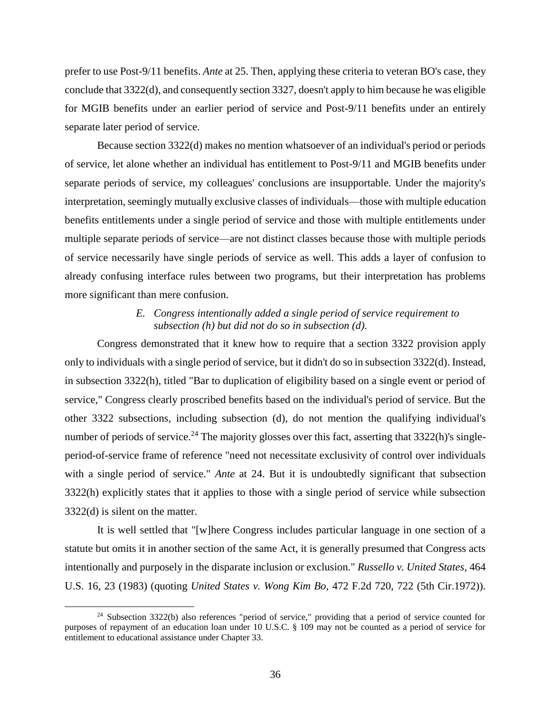prefer to use Post-9/11 benefits. *Ante* at 25. Then, applying these criteria to veteran BO's case, they conclude that 3322(d), and consequently section 3327, doesn't apply to him because he was eligible for MGIB benefits under an earlier period of service and Post-9/11 benefits under an entirely separate later period of service.

Because section 3322(d) makes no mention whatsoever of an individual's period or periods of service, let alone whether an individual has entitlement to Post-9/11 and MGIB benefits under separate periods of service, my colleagues' conclusions are insupportable. Under the majority's interpretation, seemingly mutually exclusive classes of individuals—those with multiple education benefits entitlements under a single period of service and those with multiple entitlements under multiple separate periods of service—are not distinct classes because those with multiple periods of service necessarily have single periods of service as well. This adds a layer of confusion to already confusing interface rules between two programs, but their interpretation has problems more significant than mere confusion.

## *E. Congress intentionally added a single period of service requirement to subsection (h) but did not do so in subsection (d).*

Congress demonstrated that it knew how to require that a section 3322 provision apply only to individuals with a single period of service, but it didn't do so in subsection 3322(d). Instead, in subsection 3322(h), titled "Bar to duplication of eligibility based on a single event or period of service," Congress clearly proscribed benefits based on the individual's period of service. But the other 3322 subsections, including subsection (d), do not mention the qualifying individual's number of periods of service.<sup>24</sup> The majority glosses over this fact, asserting that  $3322(h)$ 's singleperiod-of-service frame of reference "need not necessitate exclusivity of control over individuals with a single period of service." *Ante* at 24. But it is undoubtedly significant that subsection 3322(h) explicitly states that it applies to those with a single period of service while subsection 3322(d) is silent on the matter.

It is well settled that "[w]here Congress includes particular language in one section of a statute but omits it in another section of the same Act, it is generally presumed that Congress acts intentionally and purposely in the disparate inclusion or exclusion." *Russello v. United States*, 464 U.S. 16, 23 (1983) (quoting *United States v. Wong Kim Bo*, 472 F.2d 720, 722 (5th Cir.1972)).

<sup>&</sup>lt;sup>24</sup> Subsection 3322(b) also references "period of service," providing that a period of service counted for purposes of repayment of an education loan under 10 U.S.C. § 109 may not be counted as a period of service for entitlement to educational assistance under Chapter 33.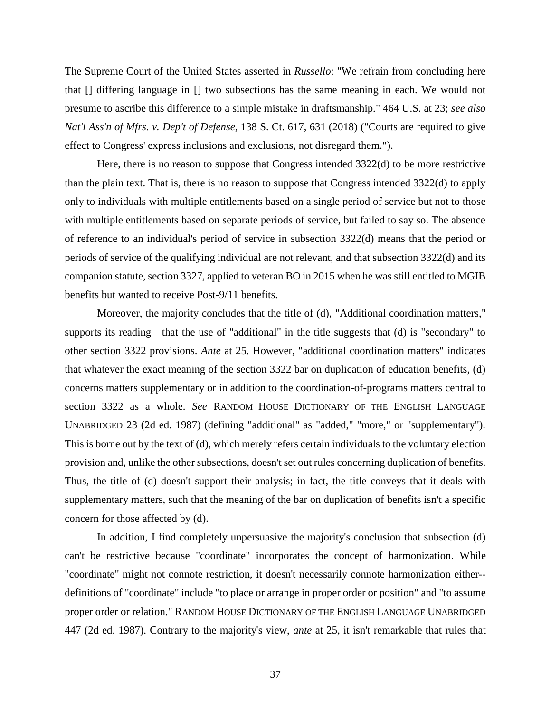The Supreme Court of the United States asserted in *Russello*: "We refrain from concluding here that [] differing language in [] two subsections has the same meaning in each. We would not presume to ascribe this difference to a simple mistake in draftsmanship." 464 U.S. at 23; *see also Nat'l Ass'n of Mfrs. v. Dep't of Defense*, 138 S. Ct. 617, 631 (2018) ("Courts are required to give effect to Congress' express inclusions and exclusions, not disregard them.").

Here, there is no reason to suppose that Congress intended 3322(d) to be more restrictive than the plain text. That is, there is no reason to suppose that Congress intended 3322(d) to apply only to individuals with multiple entitlements based on a single period of service but not to those with multiple entitlements based on separate periods of service, but failed to say so. The absence of reference to an individual's period of service in subsection 3322(d) means that the period or periods of service of the qualifying individual are not relevant, and that subsection 3322(d) and its companion statute, section 3327, applied to veteran BO in 2015 when he was still entitled to MGIB benefits but wanted to receive Post-9/11 benefits.

Moreover, the majority concludes that the title of (d), "Additional coordination matters," supports its reading—that the use of "additional" in the title suggests that (d) is "secondary" to other section 3322 provisions. *Ante* at 25. However, "additional coordination matters" indicates that whatever the exact meaning of the section 3322 bar on duplication of education benefits, (d) concerns matters supplementary or in addition to the coordination-of-programs matters central to section 3322 as a whole. *See* RANDOM HOUSE DICTIONARY OF THE ENGLISH LANGUAGE UNABRIDGED 23 (2d ed. 1987) (defining "additional" as "added," "more," or "supplementary"). This is borne out by the text of (d), which merely refers certain individuals to the voluntary election provision and, unlike the other subsections, doesn't set out rules concerning duplication of benefits. Thus, the title of (d) doesn't support their analysis; in fact, the title conveys that it deals with supplementary matters, such that the meaning of the bar on duplication of benefits isn't a specific concern for those affected by (d).

In addition, I find completely unpersuasive the majority's conclusion that subsection (d) can't be restrictive because "coordinate" incorporates the concept of harmonization. While "coordinate" might not connote restriction, it doesn't necessarily connote harmonization either- definitions of "coordinate" include "to place or arrange in proper order or position" and "to assume proper order or relation." RANDOM HOUSE DICTIONARY OF THE ENGLISH LANGUAGE UNABRIDGED 447 (2d ed. 1987). Contrary to the majority's view, *ante* at 25, it isn't remarkable that rules that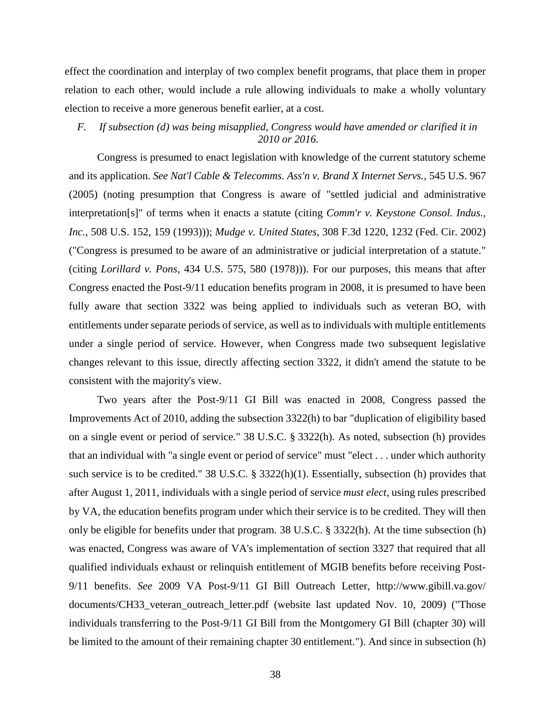effect the coordination and interplay of two complex benefit programs, that place them in proper relation to each other, would include a rule allowing individuals to make a wholly voluntary election to receive a more generous benefit earlier, at a cost.

## *F. If subsection (d) was being misapplied, Congress would have amended or clarified it in 2010 or 2016.*

Congress is presumed to enact legislation with knowledge of the current statutory scheme and its application. *See Nat'l Cable & Telecomms. Ass'n v. Brand X Internet Servs.*, 545 U.S. 967 (2005) (noting presumption that Congress is aware of "settled judicial and administrative interpretation[s]" of terms when it enacts a statute (citing *Comm'r v. Keystone Consol. Indus., Inc.*, 508 U.S. 152, 159 (1993))); *Mudge v. United States*, 308 F.3d 1220, 1232 (Fed. Cir. 2002) ("Congress is presumed to be aware of an administrative or judicial interpretation of a statute." (citing *Lorillard v. Pons*, 434 U.S. 575, 580 (1978))). For our purposes, this means that after Congress enacted the Post-9/11 education benefits program in 2008, it is presumed to have been fully aware that section 3322 was being applied to individuals such as veteran BO, with entitlements under separate periods of service, as well as to individuals with multiple entitlements under a single period of service. However, when Congress made two subsequent legislative changes relevant to this issue, directly affecting section 3322, it didn't amend the statute to be consistent with the majority's view.

Two years after the Post-9/11 GI Bill was enacted in 2008, Congress passed the Improvements Act of 2010, adding the subsection 3322(h) to bar "duplication of eligibility based on a single event or period of service." 38 U.S.C. § 3322(h). As noted, subsection (h) provides that an individual with "a single event or period of service" must "elect . . . under which authority such service is to be credited." 38 U.S.C. § 3322(h)(1). Essentially, subsection (h) provides that after August 1, 2011, individuals with a single period of service *must elect*, using rules prescribed by VA, the education benefits program under which their service is to be credited. They will then only be eligible for benefits under that program. 38 U.S.C. § 3322(h). At the time subsection (h) was enacted, Congress was aware of VA's implementation of section 3327 that required that all qualified individuals exhaust or relinquish entitlement of MGIB benefits before receiving Post-9/11 benefits. *See* 2009 VA Post-9/11 GI Bill Outreach Letter, http://www.gibill.va.gov/ documents/CH33\_veteran\_outreach\_letter.pdf (website last updated Nov. 10, 2009) ("Those individuals transferring to the Post-9/11 GI Bill from the Montgomery GI Bill (chapter 30) will be limited to the amount of their remaining chapter 30 entitlement."). And since in subsection (h)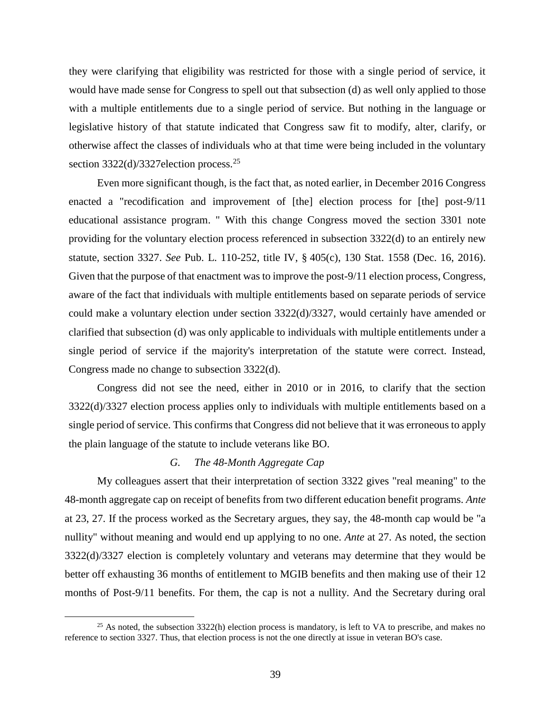they were clarifying that eligibility was restricted for those with a single period of service, it would have made sense for Congress to spell out that subsection (d) as well only applied to those with a multiple entitlements due to a single period of service. But nothing in the language or legislative history of that statute indicated that Congress saw fit to modify, alter, clarify, or otherwise affect the classes of individuals who at that time were being included in the voluntary section  $3322(d)/3327$ election process.<sup>25</sup>

Even more significant though, is the fact that, as noted earlier, in December 2016 Congress enacted a "recodification and improvement of [the] election process for [the] post-9/11 educational assistance program. " With this change Congress moved the section 3301 note providing for the voluntary election process referenced in subsection 3322(d) to an entirely new statute, section 3327. *See* Pub. L. 110-252, title IV, § 405(c), 130 Stat. 1558 (Dec. 16, 2016). Given that the purpose of that enactment was to improve the post-9/11 election process, Congress, aware of the fact that individuals with multiple entitlements based on separate periods of service could make a voluntary election under section 3322(d)/3327, would certainly have amended or clarified that subsection (d) was only applicable to individuals with multiple entitlements under a single period of service if the majority's interpretation of the statute were correct. Instead, Congress made no change to subsection 3322(d).

Congress did not see the need, either in 2010 or in 2016, to clarify that the section 3322(d)/3327 election process applies only to individuals with multiple entitlements based on a single period of service. This confirms that Congress did not believe that it was erroneous to apply the plain language of the statute to include veterans like BO.

## *G. The 48-Month Aggregate Cap*

 $\overline{a}$ 

My colleagues assert that their interpretation of section 3322 gives "real meaning" to the 48-month aggregate cap on receipt of benefits from two different education benefit programs. *Ante* at 23, 27. If the process worked as the Secretary argues, they say, the 48-month cap would be "a nullity" without meaning and would end up applying to no one. *Ante* at 27. As noted, the section 3322(d)/3327 election is completely voluntary and veterans may determine that they would be better off exhausting 36 months of entitlement to MGIB benefits and then making use of their 12 months of Post-9/11 benefits. For them, the cap is not a nullity. And the Secretary during oral

<sup>&</sup>lt;sup>25</sup> As noted, the subsection  $3322(h)$  election process is mandatory, is left to VA to prescribe, and makes no reference to section 3327. Thus, that election process is not the one directly at issue in veteran BO's case.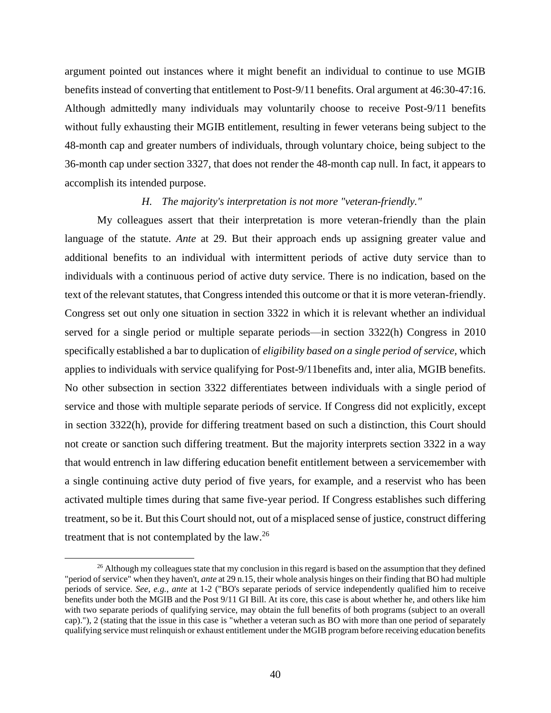argument pointed out instances where it might benefit an individual to continue to use MGIB benefits instead of converting that entitlement to Post-9/11 benefits. Oral argument at 46:30-47:16. Although admittedly many individuals may voluntarily choose to receive Post-9/11 benefits without fully exhausting their MGIB entitlement, resulting in fewer veterans being subject to the 48-month cap and greater numbers of individuals, through voluntary choice, being subject to the 36-month cap under section 3327, that does not render the 48-month cap null. In fact, it appears to accomplish its intended purpose.

#### *H. The majority's interpretation is not more "veteran-friendly."*

My colleagues assert that their interpretation is more veteran-friendly than the plain language of the statute. *Ante* at 29. But their approach ends up assigning greater value and additional benefits to an individual with intermittent periods of active duty service than to individuals with a continuous period of active duty service. There is no indication, based on the text of the relevant statutes, that Congress intended this outcome or that it is more veteran-friendly. Congress set out only one situation in section 3322 in which it is relevant whether an individual served for a single period or multiple separate periods—in section 3322(h) Congress in 2010 specifically established a bar to duplication of *eligibility based on a single period of service,* which applies to individuals with service qualifying for Post-9/11benefits and, inter alia, MGIB benefits. No other subsection in section 3322 differentiates between individuals with a single period of service and those with multiple separate periods of service. If Congress did not explicitly, except in section 3322(h), provide for differing treatment based on such a distinction, this Court should not create or sanction such differing treatment. But the majority interprets section 3322 in a way that would entrench in law differing education benefit entitlement between a servicemember with a single continuing active duty period of five years, for example, and a reservist who has been activated multiple times during that same five-year period. If Congress establishes such differing treatment, so be it. But this Court should not, out of a misplaced sense of justice, construct differing treatment that is not contemplated by the law.<sup>26</sup>

<sup>&</sup>lt;sup>26</sup> Although my colleagues state that my conclusion in this regard is based on the assumption that they defined "period of service" when they haven't, *ante* at 29 n.15, their whole analysis hinges on their finding that BO had multiple periods of service. *See, e.g.*, *ante* at 1-2 ("BO's separate periods of service independently qualified him to receive benefits under both the MGIB and the Post 9/11 GI Bill. At its core, this case is about whether he, and others like him with two separate periods of qualifying service, may obtain the full benefits of both programs (subject to an overall cap)."), 2 (stating that the issue in this case is "whether a veteran such as BO with more than one period of separately qualifying service must relinquish or exhaust entitlement under the MGIB program before receiving education benefits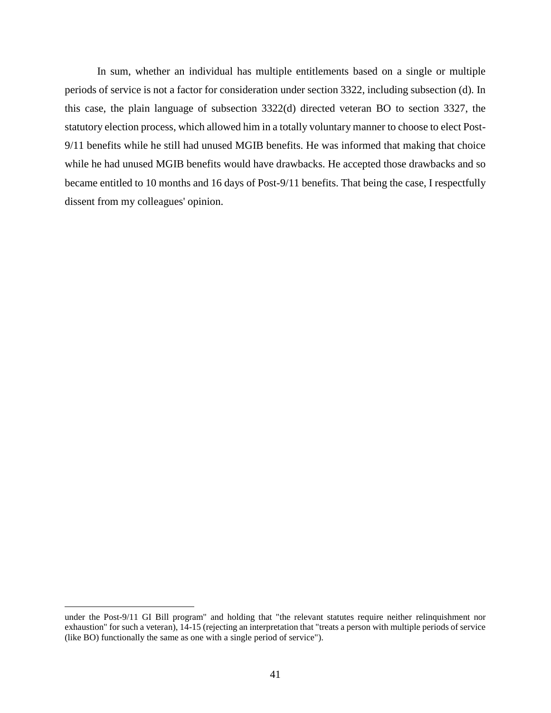In sum, whether an individual has multiple entitlements based on a single or multiple periods of service is not a factor for consideration under section 3322, including subsection (d). In this case, the plain language of subsection 3322(d) directed veteran BO to section 3327, the statutory election process, which allowed him in a totally voluntary manner to choose to elect Post-9/11 benefits while he still had unused MGIB benefits. He was informed that making that choice while he had unused MGIB benefits would have drawbacks. He accepted those drawbacks and so became entitled to 10 months and 16 days of Post-9/11 benefits. That being the case, I respectfully dissent from my colleagues' opinion.

under the Post-9/11 GI Bill program" and holding that "the relevant statutes require neither relinquishment nor exhaustion" for such a veteran), 14-15 (rejecting an interpretation that "treats a person with multiple periods of service (like BO) functionally the same as one with a single period of service").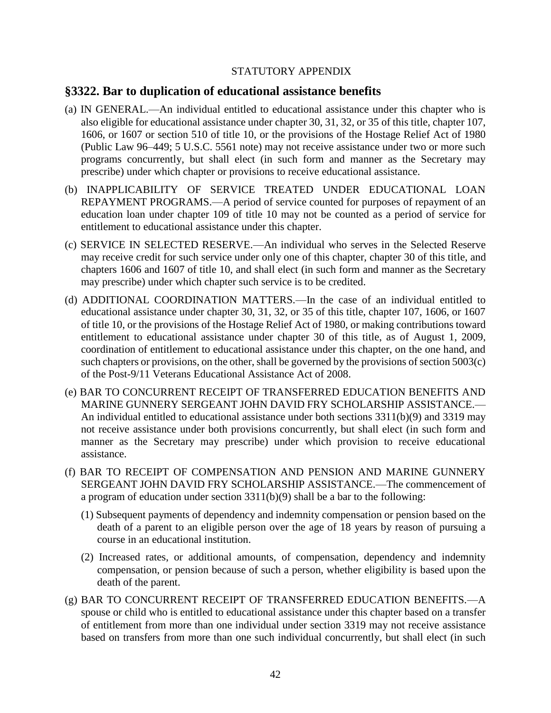## STATUTORY APPENDIX

## **§3322. Bar to duplication of educational assistance benefits**

- (a) IN GENERAL.—An individual entitled to educational assistance under this chapter who is also eligible for educational assistance under chapter 30, 31, 32, or 35 of this title, chapter 107, 1606, or 1607 or section 510 of title 10, or the provisions of the Hostage Relief Act of 1980 (Public Law 96–449; 5 U.S.C. 5561 note) may not receive assistance under two or more such programs concurrently, but shall elect (in such form and manner as the Secretary may prescribe) under which chapter or provisions to receive educational assistance.
- (b) INAPPLICABILITY OF SERVICE TREATED UNDER EDUCATIONAL LOAN REPAYMENT PROGRAMS.—A period of service counted for purposes of repayment of an education loan under chapter 109 of title 10 may not be counted as a period of service for entitlement to educational assistance under this chapter.
- (c) SERVICE IN SELECTED RESERVE.—An individual who serves in the Selected Reserve may receive credit for such service under only one of this chapter, chapter 30 of this title, and chapters 1606 and 1607 of title 10, and shall elect (in such form and manner as the Secretary may prescribe) under which chapter such service is to be credited.
- (d) ADDITIONAL COORDINATION MATTERS.—In the case of an individual entitled to educational assistance under chapter 30, 31, 32, or 35 of this title, chapter 107, 1606, or 1607 of title 10, or the provisions of the Hostage Relief Act of 1980, or making contributions toward entitlement to educational assistance under chapter 30 of this title, as of August 1, 2009, coordination of entitlement to educational assistance under this chapter, on the one hand, and such chapters or provisions, on the other, shall be governed by the provisions of section 5003(c) of the Post-9/11 Veterans Educational Assistance Act of 2008.
- (e) BAR TO CONCURRENT RECEIPT OF TRANSFERRED EDUCATION BENEFITS AND MARINE GUNNERY SERGEANT JOHN DAVID FRY SCHOLARSHIP ASSISTANCE.— An individual entitled to educational assistance under both sections 3311(b)(9) and 3319 may not receive assistance under both provisions concurrently, but shall elect (in such form and manner as the Secretary may prescribe) under which provision to receive educational assistance.
- (f) BAR TO RECEIPT OF COMPENSATION AND PENSION AND MARINE GUNNERY SERGEANT JOHN DAVID FRY SCHOLARSHIP ASSISTANCE.—The commencement of a program of education under section 3311(b)(9) shall be a bar to the following:
	- (1) Subsequent payments of dependency and indemnity compensation or pension based on the death of a parent to an eligible person over the age of 18 years by reason of pursuing a course in an educational institution.
	- (2) Increased rates, or additional amounts, of compensation, dependency and indemnity compensation, or pension because of such a person, whether eligibility is based upon the death of the parent.
- (g) BAR TO CONCURRENT RECEIPT OF TRANSFERRED EDUCATION BENEFITS.—A spouse or child who is entitled to educational assistance under this chapter based on a transfer of entitlement from more than one individual under section 3319 may not receive assistance based on transfers from more than one such individual concurrently, but shall elect (in such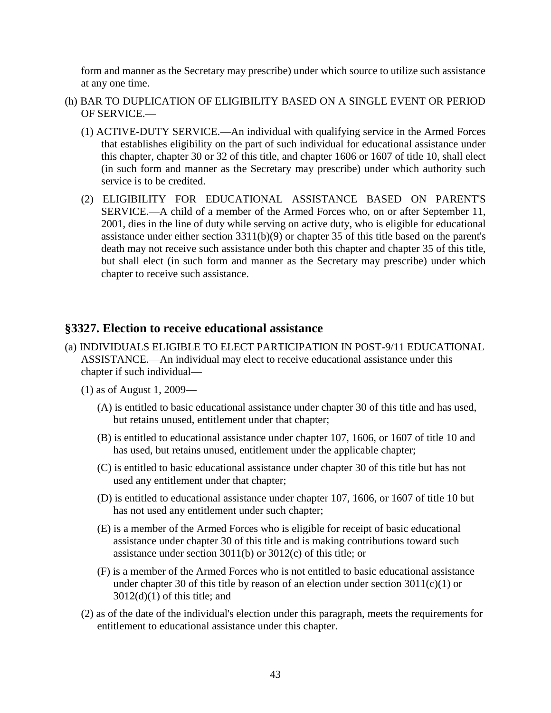form and manner as the Secretary may prescribe) under which source to utilize such assistance at any one time.

- (h) BAR TO DUPLICATION OF ELIGIBILITY BASED ON A SINGLE EVENT OR PERIOD OF SERVICE.—
	- (1) ACTIVE-DUTY SERVICE.—An individual with qualifying service in the Armed Forces that establishes eligibility on the part of such individual for educational assistance under this chapter, chapter 30 or 32 of this title, and chapter 1606 or 1607 of title 10, shall elect (in such form and manner as the Secretary may prescribe) under which authority such service is to be credited.
	- (2) ELIGIBILITY FOR EDUCATIONAL ASSISTANCE BASED ON PARENT'S SERVICE.—A child of a member of the Armed Forces who, on or after September 11, 2001, dies in the line of duty while serving on active duty, who is eligible for educational assistance under either section 3311(b)(9) or chapter 35 of this title based on the parent's death may not receive such assistance under both this chapter and chapter 35 of this title, but shall elect (in such form and manner as the Secretary may prescribe) under which chapter to receive such assistance.

# **§3327. Election to receive educational assistance**

- (a) INDIVIDUALS ELIGIBLE TO ELECT PARTICIPATION IN POST-9/11 EDUCATIONAL ASSISTANCE.—An individual may elect to receive educational assistance under this chapter if such individual—
	- (1) as of August 1, 2009—
		- (A) is entitled to basic educational assistance under chapter 30 of this title and has used, but retains unused, entitlement under that chapter;
		- (B) is entitled to educational assistance under chapter 107, 1606, or 1607 of title 10 and has used, but retains unused, entitlement under the applicable chapter;
		- (C) is entitled to basic educational assistance under chapter 30 of this title but has not used any entitlement under that chapter;
		- (D) is entitled to educational assistance under chapter 107, 1606, or 1607 of title 10 but has not used any entitlement under such chapter;
		- (E) is a member of the Armed Forces who is eligible for receipt of basic educational assistance under chapter 30 of this title and is making contributions toward such assistance under section 3011(b) or 3012(c) of this title; or
		- (F) is a member of the Armed Forces who is not entitled to basic educational assistance under chapter 30 of this title by reason of an election under section  $3011(c)(1)$  or  $3012(d)(1)$  of this title; and
	- (2) as of the date of the individual's election under this paragraph, meets the requirements for entitlement to educational assistance under this chapter.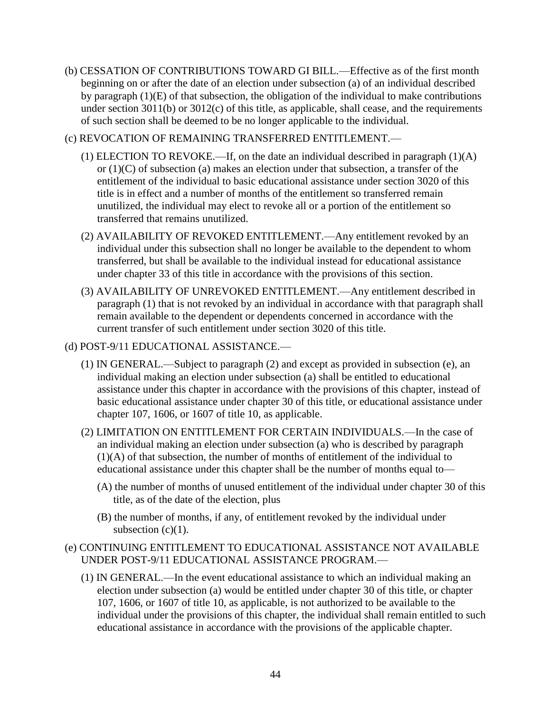- (b) CESSATION OF CONTRIBUTIONS TOWARD GI BILL.—Effective as of the first month beginning on or after the date of an election under subsection (a) of an individual described by paragraph (1)(E) of that subsection, the obligation of the individual to make contributions under section  $3011(b)$  or  $3012(c)$  of this title, as applicable, shall cease, and the requirements of such section shall be deemed to be no longer applicable to the individual.
- (c) REVOCATION OF REMAINING TRANSFERRED ENTITLEMENT.—
	- (1) ELECTION TO REVOKE.—If, on the date an individual described in paragraph (1)(A) or (1)(C) of subsection (a) makes an election under that subsection, a transfer of the entitlement of the individual to basic educational assistance under section 3020 of this title is in effect and a number of months of the entitlement so transferred remain unutilized, the individual may elect to revoke all or a portion of the entitlement so transferred that remains unutilized.
	- (2) AVAILABILITY OF REVOKED ENTITLEMENT.—Any entitlement revoked by an individual under this subsection shall no longer be available to the dependent to whom transferred, but shall be available to the individual instead for educational assistance under chapter 33 of this title in accordance with the provisions of this section.
	- (3) AVAILABILITY OF UNREVOKED ENTITLEMENT.—Any entitlement described in paragraph (1) that is not revoked by an individual in accordance with that paragraph shall remain available to the dependent or dependents concerned in accordance with the current transfer of such entitlement under section 3020 of this title.
- (d) POST-9/11 EDUCATIONAL ASSISTANCE.—
	- (1) IN GENERAL.—Subject to paragraph (2) and except as provided in subsection (e), an individual making an election under subsection (a) shall be entitled to educational assistance under this chapter in accordance with the provisions of this chapter, instead of basic educational assistance under chapter 30 of this title, or educational assistance under chapter 107, 1606, or 1607 of title 10, as applicable.
	- (2) LIMITATION ON ENTITLEMENT FOR CERTAIN INDIVIDUALS.—In the case of an individual making an election under subsection (a) who is described by paragraph (1)(A) of that subsection, the number of months of entitlement of the individual to educational assistance under this chapter shall be the number of months equal to—
		- (A) the number of months of unused entitlement of the individual under chapter 30 of this title, as of the date of the election, plus
		- (B) the number of months, if any, of entitlement revoked by the individual under subsection  $(c)(1)$ .

## (e) CONTINUING ENTITLEMENT TO EDUCATIONAL ASSISTANCE NOT AVAILABLE UNDER POST-9/11 EDUCATIONAL ASSISTANCE PROGRAM.—

(1) IN GENERAL.—In the event educational assistance to which an individual making an election under subsection (a) would be entitled under chapter 30 of this title, or chapter 107, 1606, or 1607 of title 10, as applicable, is not authorized to be available to the individual under the provisions of this chapter, the individual shall remain entitled to such educational assistance in accordance with the provisions of the applicable chapter.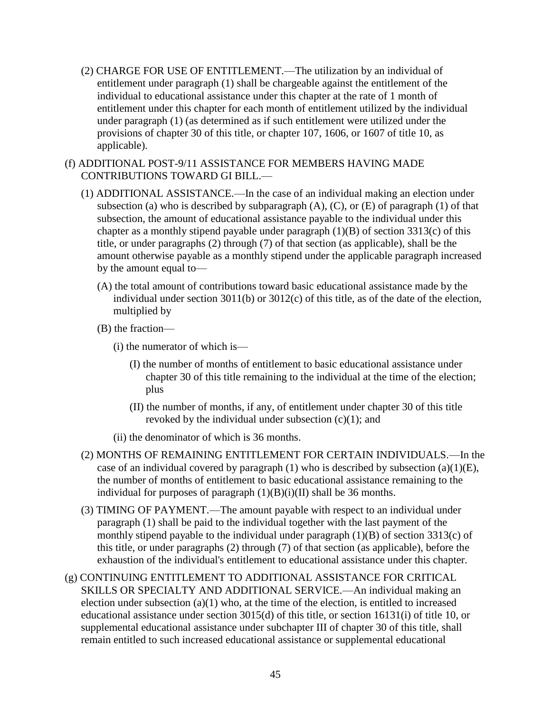- (2) CHARGE FOR USE OF ENTITLEMENT.—The utilization by an individual of entitlement under paragraph (1) shall be chargeable against the entitlement of the individual to educational assistance under this chapter at the rate of 1 month of entitlement under this chapter for each month of entitlement utilized by the individual under paragraph (1) (as determined as if such entitlement were utilized under the provisions of chapter 30 of this title, or chapter 107, 1606, or 1607 of title 10, as applicable).
- (f) ADDITIONAL POST-9/11 ASSISTANCE FOR MEMBERS HAVING MADE CONTRIBUTIONS TOWARD GI BILL.—
	- (1) ADDITIONAL ASSISTANCE.—In the case of an individual making an election under subsection (a) who is described by subparagraph  $(A)$ ,  $(C)$ , or  $(E)$  of paragraph  $(1)$  of that subsection, the amount of educational assistance payable to the individual under this chapter as a monthly stipend payable under paragraph  $(1)(B)$  of section 3313(c) of this title, or under paragraphs (2) through (7) of that section (as applicable), shall be the amount otherwise payable as a monthly stipend under the applicable paragraph increased by the amount equal to—
		- (A) the total amount of contributions toward basic educational assistance made by the individual under section 3011(b) or 3012(c) of this title, as of the date of the election, multiplied by
		- (B) the fraction—
			- (i) the numerator of which is—
				- (I) the number of months of entitlement to basic educational assistance under chapter 30 of this title remaining to the individual at the time of the election; plus
				- (II) the number of months, if any, of entitlement under chapter 30 of this title revoked by the individual under subsection  $(c)(1)$ ; and
			- (ii) the denominator of which is 36 months.
	- (2) MONTHS OF REMAINING ENTITLEMENT FOR CERTAIN INDIVIDUALS.—In the case of an individual covered by paragraph (1) who is described by subsection (a)(1)(E), the number of months of entitlement to basic educational assistance remaining to the individual for purposes of paragraph  $(1)(B)(i)(II)$  shall be 36 months.
	- (3) TIMING OF PAYMENT.—The amount payable with respect to an individual under paragraph (1) shall be paid to the individual together with the last payment of the monthly stipend payable to the individual under paragraph (1)(B) of section 3313(c) of this title, or under paragraphs (2) through (7) of that section (as applicable), before the exhaustion of the individual's entitlement to educational assistance under this chapter.
- (g) CONTINUING ENTITLEMENT TO ADDITIONAL ASSISTANCE FOR CRITICAL SKILLS OR SPECIALTY AND ADDITIONAL SERVICE.—An individual making an election under subsection  $(a)(1)$  who, at the time of the election, is entitled to increased educational assistance under section 3015(d) of this title, or section 16131(i) of title 10, or supplemental educational assistance under subchapter III of chapter 30 of this title, shall remain entitled to such increased educational assistance or supplemental educational